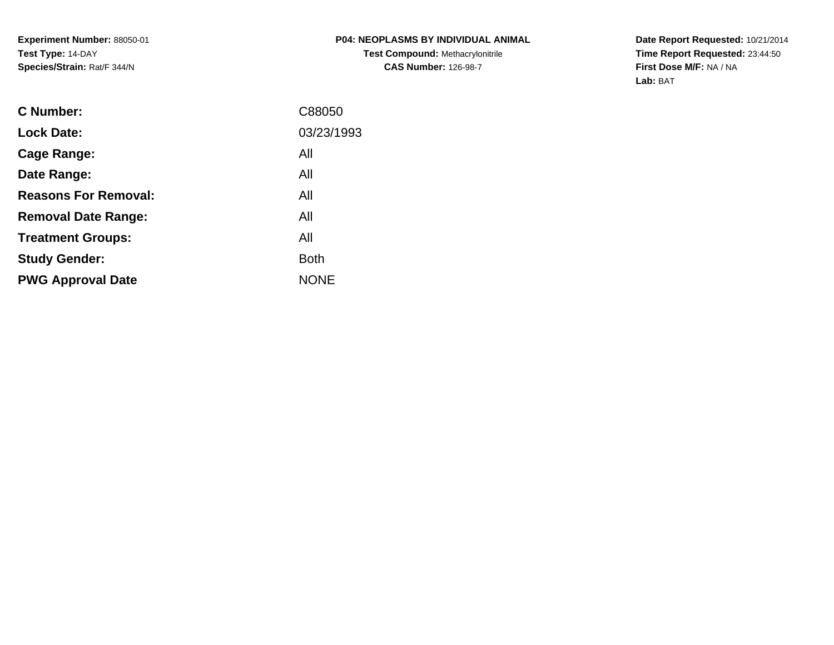**Date Report Requested:** 10/21/2014 **Time Report Requested:** 23:44:50**First Dose M/F:** NA / NA**Lab:** BAT

| C88050      |
|-------------|
| 03/23/1993  |
| All         |
| All         |
| All         |
| All         |
| All         |
| <b>Both</b> |
| <b>NONE</b> |
|             |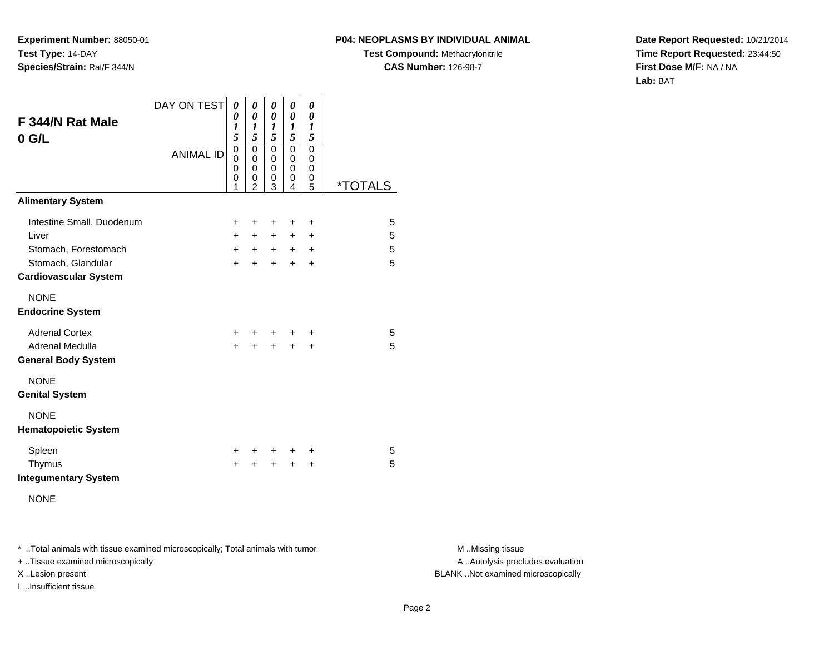#### **P04: NEOPLASMS BY INDIVIDUAL ANIMAL**

**Test Compound:** Methacrylonitrile**CAS Number:** 126-98-7

**Date Report Requested:** 10/21/2014**Time Report Requested:** 23:44:50**First Dose M/F:** NA / NA**Lab:** BAT

| F 344/N Rat Male<br>$0$ G/L                                                                                      | DAY ON TEST      | 0<br>0<br>1<br>5                | 0<br>0<br>1<br>5                   | 0<br>0<br>1<br>5                | 0<br>0<br>$\boldsymbol{l}$<br>5 | 0<br>0<br>1<br>5                 |                       |
|------------------------------------------------------------------------------------------------------------------|------------------|---------------------------------|------------------------------------|---------------------------------|---------------------------------|----------------------------------|-----------------------|
|                                                                                                                  | <b>ANIMAL ID</b> | $\mathbf 0$<br>0<br>0<br>0<br>1 | 0<br>0<br>0<br>0<br>$\overline{2}$ | $\mathbf 0$<br>0<br>0<br>0<br>3 | 0<br>0<br>$\mathbf 0$<br>0<br>4 | 0<br>0<br>0<br>0<br>5            | <i><b>*TOTALS</b></i> |
| <b>Alimentary System</b>                                                                                         |                  |                                 |                                    |                                 |                                 |                                  |                       |
| Intestine Small, Duodenum<br>Liver<br>Stomach, Forestomach<br>Stomach, Glandular<br><b>Cardiovascular System</b> |                  | +<br>$+$<br>$+$<br>$\ddot{}$    | ٠<br>$+$<br>$+$<br>$\ddot{}$       | +<br>+<br>$+$<br>$\ddot{}$      | +<br>+<br>$+$<br>$\ddot{}$      | +<br>+<br>$\ddot{}$<br>$\ddot{}$ | 5<br>5<br>5<br>5      |
| <b>NONE</b><br><b>Endocrine System</b>                                                                           |                  |                                 |                                    |                                 |                                 |                                  |                       |
| <b>Adrenal Cortex</b><br>Adrenal Medulla<br><b>General Body System</b>                                           |                  | +<br>$\ddot{}$                  | +<br>$\ddot{}$                     | $\ddot{}$<br>$\ddot{}$          | $\ddot{}$<br>$\ddot{}$          | +<br>$\ddot{}$                   | 5<br>5                |
| <b>NONE</b><br><b>Genital System</b>                                                                             |                  |                                 |                                    |                                 |                                 |                                  |                       |
| <b>NONE</b><br><b>Hematopoietic System</b>                                                                       |                  |                                 |                                    |                                 |                                 |                                  |                       |
| Spleen<br>Thymus<br><b>Integumentary System</b><br><b>NONE</b>                                                   |                  | $\pm$<br>$\ddot{}$              | +                                  | $\ddot{}$<br>$\ddot{}$          | ÷<br>$\ddot{}$                  | ÷<br>$\ddot{}$                   | 5<br>5                |

\* ..Total animals with tissue examined microscopically; Total animals with tumor **M** . Missing tissue M ..Missing tissue

+ ..Tissue examined microscopically

I ..Insufficient tissue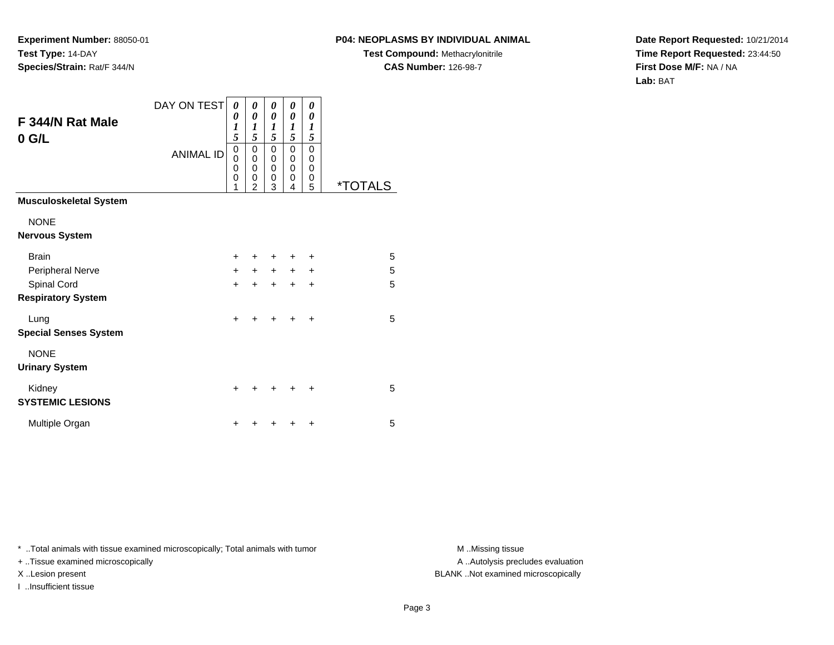# **P04: NEOPLASMS BY INDIVIDUAL ANIMAL**

**Test Compound:** Methacrylonitrile**CAS Number:** 126-98-7

**Date Report Requested:** 10/21/2014**Time Report Requested:** 23:44:50**First Dose M/F:** NA / NA**Lab:** BAT

| F 344/N Rat Male<br>$0$ G/L              | DAY ON TEST      | 0<br>0<br>$\boldsymbol{l}$<br>5                     | 0<br>0<br>1<br>5                            | 0<br>0<br>1<br>5                          | 0<br>0<br>1<br>5                          | 0<br>0<br>$\boldsymbol{l}$<br>5                     |                       |
|------------------------------------------|------------------|-----------------------------------------------------|---------------------------------------------|-------------------------------------------|-------------------------------------------|-----------------------------------------------------|-----------------------|
|                                          | <b>ANIMAL ID</b> | 0<br>$\mathbf 0$<br>$\mathbf 0$<br>$\mathbf 0$<br>1 | 0<br>$\mathsf 0$<br>0<br>0<br>$\mathcal{P}$ | $\mathbf 0$<br>0<br>$\mathbf 0$<br>0<br>3 | 0<br>$\mathbf 0$<br>$\mathbf 0$<br>0<br>4 | $\mathbf 0$<br>$\mathbf 0$<br>$\mathbf 0$<br>0<br>5 | <i><b>*TOTALS</b></i> |
| <b>Musculoskeletal System</b>            |                  |                                                     |                                             |                                           |                                           |                                                     |                       |
| <b>NONE</b><br><b>Nervous System</b>     |                  |                                                     |                                             |                                           |                                           |                                                     |                       |
| <b>Brain</b>                             |                  | $+$                                                 | ٠                                           | ٠                                         | ÷                                         | ÷                                                   | 5                     |
| Peripheral Nerve                         |                  | $+$                                                 | $+$                                         | $+$                                       | $+$                                       | $\ddot{}$                                           | 5                     |
| Spinal Cord<br><b>Respiratory System</b> |                  | $+$                                                 | $\ddot{}$                                   | $\ddot{}$                                 | $\ddot{}$                                 | $\ddot{}$                                           | 5                     |
| Lung<br><b>Special Senses System</b>     |                  | $\ddot{}$                                           | +                                           | ٠                                         | ÷                                         | $\ddot{}$                                           | 5                     |
| <b>NONE</b><br><b>Urinary System</b>     |                  |                                                     |                                             |                                           |                                           |                                                     |                       |
| Kidney<br><b>SYSTEMIC LESIONS</b>        |                  | $\ddot{}$                                           |                                             |                                           |                                           | ÷                                                   | 5                     |
| Multiple Organ                           |                  | ٠                                                   |                                             |                                           |                                           | $\ddot{}$                                           | 5                     |

\* ..Total animals with tissue examined microscopically; Total animals with tumor **M** . Missing tissue M ..Missing tissue

+ ..Tissue examined microscopically

I ..Insufficient tissue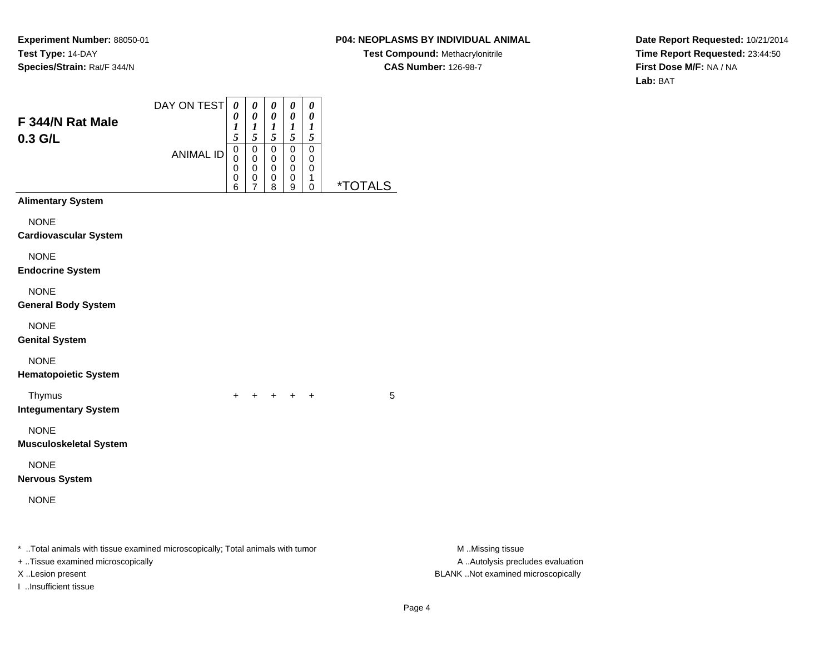# **P04: NEOPLASMS BY INDIVIDUAL ANIMAL**

**Test Compound:** Methacrylonitrile**CAS Number:** 126-98-7

**Date Report Requested:** 10/21/2014**Time Report Requested:** 23:44:50**First Dose M/F:** NA / NA**Lab:** BAT

| F 344/N Rat Male<br>0.3 G/L                                                                                                              | DAY ON TEST<br><b>ANIMAL ID</b> | $\boldsymbol{\theta}$<br>0<br>1<br>5<br>$\mathbf 0$<br>0<br>0<br>0<br>6 | 0<br>$\pmb{\theta}$<br>$\frac{1}{5}$<br>$\mbox{O}$<br>0<br>$\,0\,$<br>0<br>$\overline{7}$ | $\pmb{\theta}$<br>$\pmb{\theta}$<br>$\boldsymbol{l}$<br>5<br>$\overline{0}$<br>0<br>$\,0\,$<br>0<br>8 | 0<br>$\pmb{\theta}$<br>$\frac{1}{5}$<br>$\mathsf 0$<br>0<br>0<br>0<br>9 | $\pmb{\theta}$<br>$\pmb{\theta}$<br>$\boldsymbol{l}$<br>$\sqrt{5}$<br>$\pmb{0}$<br>0<br>0<br>1<br>$\pmb{0}$ | <i><b>*TOTALS</b></i> |                                                                                             |
|------------------------------------------------------------------------------------------------------------------------------------------|---------------------------------|-------------------------------------------------------------------------|-------------------------------------------------------------------------------------------|-------------------------------------------------------------------------------------------------------|-------------------------------------------------------------------------|-------------------------------------------------------------------------------------------------------------|-----------------------|---------------------------------------------------------------------------------------------|
| <b>Alimentary System</b>                                                                                                                 |                                 |                                                                         |                                                                                           |                                                                                                       |                                                                         |                                                                                                             |                       |                                                                                             |
| <b>NONE</b><br><b>Cardiovascular System</b>                                                                                              |                                 |                                                                         |                                                                                           |                                                                                                       |                                                                         |                                                                                                             |                       |                                                                                             |
| <b>NONE</b><br><b>Endocrine System</b>                                                                                                   |                                 |                                                                         |                                                                                           |                                                                                                       |                                                                         |                                                                                                             |                       |                                                                                             |
| <b>NONE</b><br><b>General Body System</b>                                                                                                |                                 |                                                                         |                                                                                           |                                                                                                       |                                                                         |                                                                                                             |                       |                                                                                             |
| <b>NONE</b><br><b>Genital System</b>                                                                                                     |                                 |                                                                         |                                                                                           |                                                                                                       |                                                                         |                                                                                                             |                       |                                                                                             |
| <b>NONE</b><br><b>Hematopoietic System</b>                                                                                               |                                 |                                                                         |                                                                                           |                                                                                                       |                                                                         |                                                                                                             |                       |                                                                                             |
| Thymus<br><b>Integumentary System</b>                                                                                                    |                                 | $+$                                                                     |                                                                                           |                                                                                                       | $+$ $+$ $+$ $+$                                                         |                                                                                                             | 5                     |                                                                                             |
| <b>NONE</b><br><b>Musculoskeletal System</b>                                                                                             |                                 |                                                                         |                                                                                           |                                                                                                       |                                                                         |                                                                                                             |                       |                                                                                             |
| <b>NONE</b><br><b>Nervous System</b>                                                                                                     |                                 |                                                                         |                                                                                           |                                                                                                       |                                                                         |                                                                                                             |                       |                                                                                             |
| <b>NONE</b>                                                                                                                              |                                 |                                                                         |                                                                                           |                                                                                                       |                                                                         |                                                                                                             |                       |                                                                                             |
| *  Total animals with tissue examined microscopically; Total animals with tumor<br>+ Tissue examined microscopically<br>X Lesion present |                                 |                                                                         |                                                                                           |                                                                                                       |                                                                         |                                                                                                             |                       | M Missing tissue<br>A  Autolysis precludes evaluation<br>BLANK Not examined microscopically |

I ..Insufficient tissue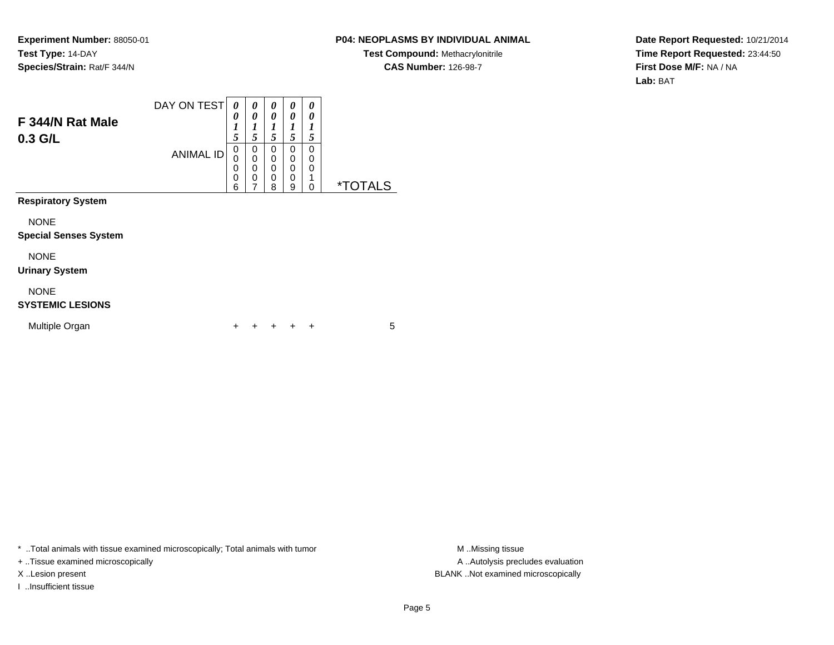### **P04: NEOPLASMS BY INDIVIDUAL ANIMAL**

**Test Compound:** Methacrylonitrile**CAS Number:** 126-98-7

**Date Report Requested:** 10/21/2014**Time Report Requested:** 23:44:50**First Dose M/F:** NA / NA**Lab:** BAT

| F 344/N Rat Male<br>$0.3$ G/L               | DAY ON TEST      | 0<br>0<br>$\boldsymbol{l}$<br>5 | 0<br>0<br>1<br>5                                    | 0<br>0<br>1<br>5      | 0<br>0<br>1<br>5      | 0<br>0<br>1<br>5             |                       |
|---------------------------------------------|------------------|---------------------------------|-----------------------------------------------------|-----------------------|-----------------------|------------------------------|-----------------------|
|                                             | <b>ANIMAL ID</b> | 0<br>0<br>0<br>$\mathbf 0$<br>6 | 0<br>$\mathbf 0$<br>$\mathbf 0$<br>$\mathbf 0$<br>7 | 0<br>0<br>0<br>0<br>8 | 0<br>0<br>0<br>0<br>9 | 0<br>0<br>0<br>1<br>$\Omega$ | <i><b>*TOTALS</b></i> |
| <b>Respiratory System</b>                   |                  |                                 |                                                     |                       |                       |                              |                       |
| <b>NONE</b><br><b>Special Senses System</b> |                  |                                 |                                                     |                       |                       |                              |                       |
| <b>NONE</b><br><b>Urinary System</b>        |                  |                                 |                                                     |                       |                       |                              |                       |
| <b>NONE</b><br><b>SYSTEMIC LESIONS</b>      |                  |                                 |                                                     |                       |                       |                              |                       |
| Multiple Organ                              |                  |                                 |                                                     |                       |                       | ÷                            | 5                     |

\* ..Total animals with tissue examined microscopically; Total animals with tumor **M** . Missing tissue M ..Missing tissue

+ ..Tissue examined microscopically

I ..Insufficient tissue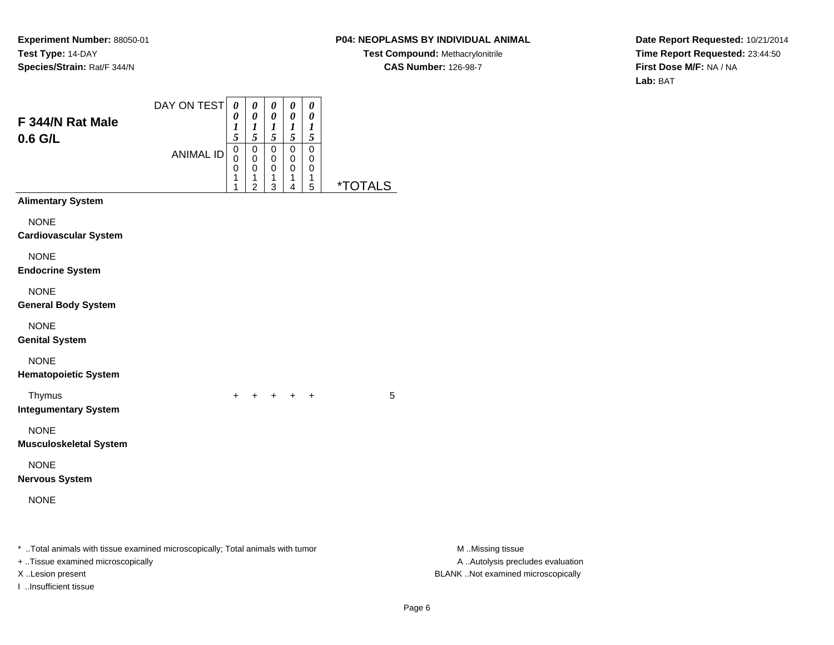# **P04: NEOPLASMS BY INDIVIDUAL ANIMAL**

**Test Compound:** Methacrylonitrile**CAS Number:** 126-98-7

**Date Report Requested:** 10/21/2014**Time Report Requested:** 23:44:50**First Dose M/F:** NA / NA**Lab:** BAT

| F 344/N Rat Male<br>0.6 G/L                                                                                                             | DAY ON TEST<br><b>ANIMAL ID</b> | $\pmb{\theta}$<br>0<br>$\boldsymbol{l}$<br>5<br>0<br>0<br>0<br>1<br>1 | $\pmb{\theta}$<br>0<br>$\frac{1}{5}$<br>$\pmb{0}$<br>0<br>0<br>1<br>$\overline{c}$ | $\pmb{\theta}$<br>$\pmb{\theta}$<br>$\frac{1}{5}$<br>$\mathbf 0$<br>0<br>$\mathbf 0$<br>1<br>3 | $\pmb{\theta}$<br>$\pmb{\theta}$<br>$\frac{1}{5}$<br>$\pmb{0}$<br>0<br>$\mathbf 0$<br>$\mathbf{1}$<br>4 | $\pmb{\theta}$<br>$\pmb{\theta}$<br>$\boldsymbol{l}$<br>$\mathfrak{s}$<br>$\pmb{0}$<br>0<br>0<br>1<br>$\,$ 5 $\,$ | <i><b>*TOTALS</b></i> |                                                                                             |  |
|-----------------------------------------------------------------------------------------------------------------------------------------|---------------------------------|-----------------------------------------------------------------------|------------------------------------------------------------------------------------|------------------------------------------------------------------------------------------------|---------------------------------------------------------------------------------------------------------|-------------------------------------------------------------------------------------------------------------------|-----------------------|---------------------------------------------------------------------------------------------|--|
| <b>Alimentary System</b>                                                                                                                |                                 |                                                                       |                                                                                    |                                                                                                |                                                                                                         |                                                                                                                   |                       |                                                                                             |  |
| <b>NONE</b><br><b>Cardiovascular System</b>                                                                                             |                                 |                                                                       |                                                                                    |                                                                                                |                                                                                                         |                                                                                                                   |                       |                                                                                             |  |
| <b>NONE</b><br><b>Endocrine System</b>                                                                                                  |                                 |                                                                       |                                                                                    |                                                                                                |                                                                                                         |                                                                                                                   |                       |                                                                                             |  |
| <b>NONE</b><br><b>General Body System</b>                                                                                               |                                 |                                                                       |                                                                                    |                                                                                                |                                                                                                         |                                                                                                                   |                       |                                                                                             |  |
| <b>NONE</b><br><b>Genital System</b>                                                                                                    |                                 |                                                                       |                                                                                    |                                                                                                |                                                                                                         |                                                                                                                   |                       |                                                                                             |  |
| <b>NONE</b><br><b>Hematopoietic System</b>                                                                                              |                                 |                                                                       |                                                                                    |                                                                                                |                                                                                                         |                                                                                                                   |                       |                                                                                             |  |
| Thymus<br><b>Integumentary System</b>                                                                                                   |                                 | $+$                                                                   |                                                                                    |                                                                                                | + + + +                                                                                                 |                                                                                                                   | 5                     |                                                                                             |  |
| <b>NONE</b><br><b>Musculoskeletal System</b>                                                                                            |                                 |                                                                       |                                                                                    |                                                                                                |                                                                                                         |                                                                                                                   |                       |                                                                                             |  |
| <b>NONE</b><br><b>Nervous System</b>                                                                                                    |                                 |                                                                       |                                                                                    |                                                                                                |                                                                                                         |                                                                                                                   |                       |                                                                                             |  |
| <b>NONE</b>                                                                                                                             |                                 |                                                                       |                                                                                    |                                                                                                |                                                                                                         |                                                                                                                   |                       |                                                                                             |  |
| * Total animals with tissue examined microscopically; Total animals with tumor<br>+ Tissue examined microscopically<br>X Lesion present |                                 |                                                                       |                                                                                    |                                                                                                |                                                                                                         |                                                                                                                   |                       | M Missing tissue<br>A  Autolysis precludes evaluation<br>BLANK Not examined microscopically |  |

I ..Insufficient tissue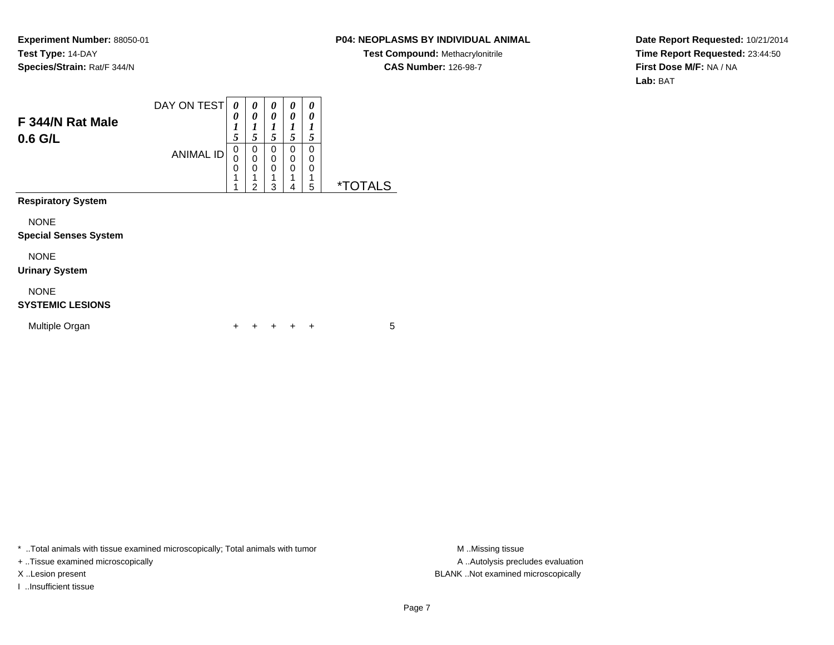#### **P04: NEOPLASMS BY INDIVIDUAL ANIMAL**

**Test Compound:** Methacrylonitrile**CAS Number:** 126-98-7

**Date Report Requested:** 10/21/2014**Time Report Requested:** 23:44:50**First Dose M/F:** NA / NA**Lab:** BAT

| F 344/N Rat Male<br>0.6 G/L                 | DAY ON TEST<br><b>ANIMAL ID</b> | 0<br>0<br>1<br>5<br>$\mathbf 0$<br>0<br>0 | 0<br>0<br>1<br>5<br>0<br>$\mathbf 0$<br>0 | 0<br>0<br>1<br>5<br>0<br>$\mathbf 0$<br>0 | 0<br>0<br>1<br>5<br>0<br>0<br>0 | 0<br>0<br>1<br>5<br>0<br>0<br>0 |                       |
|---------------------------------------------|---------------------------------|-------------------------------------------|-------------------------------------------|-------------------------------------------|---------------------------------|---------------------------------|-----------------------|
|                                             |                                 | 1<br>1                                    | 1<br>$\overline{2}$                       | 3                                         | 4                               | 5                               | <i><b>*TOTALS</b></i> |
| <b>Respiratory System</b>                   |                                 |                                           |                                           |                                           |                                 |                                 |                       |
| <b>NONE</b><br><b>Special Senses System</b> |                                 |                                           |                                           |                                           |                                 |                                 |                       |
| <b>NONE</b><br><b>Urinary System</b>        |                                 |                                           |                                           |                                           |                                 |                                 |                       |
| <b>NONE</b><br><b>SYSTEMIC LESIONS</b>      |                                 |                                           |                                           |                                           |                                 |                                 |                       |
| Multiple Organ                              |                                 | ٠                                         |                                           |                                           |                                 | ÷                               | 5                     |

\* ..Total animals with tissue examined microscopically; Total animals with tumor **M** . Missing tissue M ..Missing tissue

+ ..Tissue examined microscopically

I ..Insufficient tissue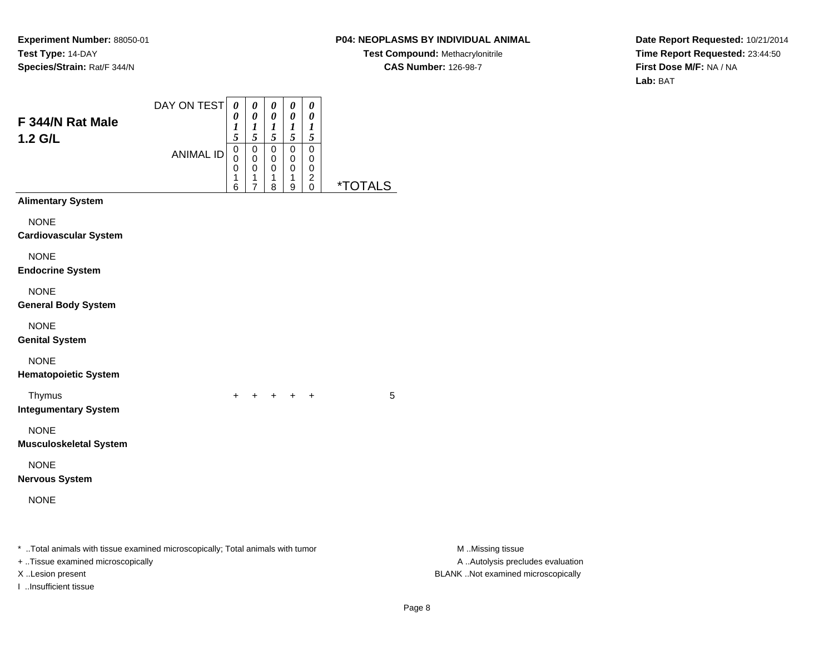# **P04: NEOPLASMS BY INDIVIDUAL ANIMAL**

**Test Compound:** Methacrylonitrile**CAS Number:** 126-98-7

**Date Report Requested:** 10/21/2014**Time Report Requested:** 23:44:50**First Dose M/F:** NA / NA**Lab:** BAT

|                                                                                                                     | DAY ON TEST      | $\pmb{\theta}$<br>0   | $\pmb{\theta}$<br>$\boldsymbol{\theta}$                               | $\pmb{\theta}$<br>$\pmb{\theta}$              | $\pmb{\theta}$<br>$\boldsymbol{\theta}$                    | $\pmb{\theta}$<br>$\boldsymbol{\theta}$                      |                       |                                                       |
|---------------------------------------------------------------------------------------------------------------------|------------------|-----------------------|-----------------------------------------------------------------------|-----------------------------------------------|------------------------------------------------------------|--------------------------------------------------------------|-----------------------|-------------------------------------------------------|
| F 344/N Rat Male<br>$1.2$ G/L                                                                                       |                  | 1<br>5                | $\frac{1}{5}$                                                         | $\frac{1}{5}$                                 | $\frac{1}{5}$                                              | 1<br>$\sqrt{5}$                                              |                       |                                                       |
|                                                                                                                     | <b>ANIMAL ID</b> | 0<br>0<br>0<br>1<br>6 | $\,0\,$<br>$\mathbf 0$<br>$\pmb{0}$<br>$\mathbf{1}$<br>$\overline{7}$ | $\pmb{0}$<br>$\mathbf 0$<br>$\,0\,$<br>1<br>8 | $\pmb{0}$<br>$\mathbf 0$<br>$\pmb{0}$<br>$\mathbf{1}$<br>9 | $\pmb{0}$<br>0<br>$\mathbf 0$<br>$\overline{c}$<br>$\pmb{0}$ | <i><b>*TOTALS</b></i> |                                                       |
| <b>Alimentary System</b>                                                                                            |                  |                       |                                                                       |                                               |                                                            |                                                              |                       |                                                       |
| <b>NONE</b><br><b>Cardiovascular System</b>                                                                         |                  |                       |                                                                       |                                               |                                                            |                                                              |                       |                                                       |
| <b>NONE</b><br><b>Endocrine System</b>                                                                              |                  |                       |                                                                       |                                               |                                                            |                                                              |                       |                                                       |
| <b>NONE</b><br><b>General Body System</b>                                                                           |                  |                       |                                                                       |                                               |                                                            |                                                              |                       |                                                       |
| <b>NONE</b><br><b>Genital System</b>                                                                                |                  |                       |                                                                       |                                               |                                                            |                                                              |                       |                                                       |
| <b>NONE</b><br><b>Hematopoietic System</b>                                                                          |                  |                       |                                                                       |                                               |                                                            |                                                              |                       |                                                       |
| Thymus<br><b>Integumentary System</b>                                                                               |                  | $+$                   | $+$                                                                   |                                               | $+$ $+$ $+$                                                |                                                              | 5                     |                                                       |
| <b>NONE</b><br><b>Musculoskeletal System</b>                                                                        |                  |                       |                                                                       |                                               |                                                            |                                                              |                       |                                                       |
| <b>NONE</b><br><b>Nervous System</b>                                                                                |                  |                       |                                                                       |                                               |                                                            |                                                              |                       |                                                       |
| <b>NONE</b>                                                                                                         |                  |                       |                                                                       |                                               |                                                            |                                                              |                       |                                                       |
| * Total animals with tissue examined microscopically; Total animals with tumor<br>+ Tissue examined microscopically |                  |                       |                                                                       |                                               |                                                            |                                                              |                       | M Missing tissue<br>A  Autolysis precludes evaluation |
| X Lesion present<br>I Insufficient tissue                                                                           |                  |                       |                                                                       |                                               |                                                            |                                                              |                       | BLANK Not examined microscopically                    |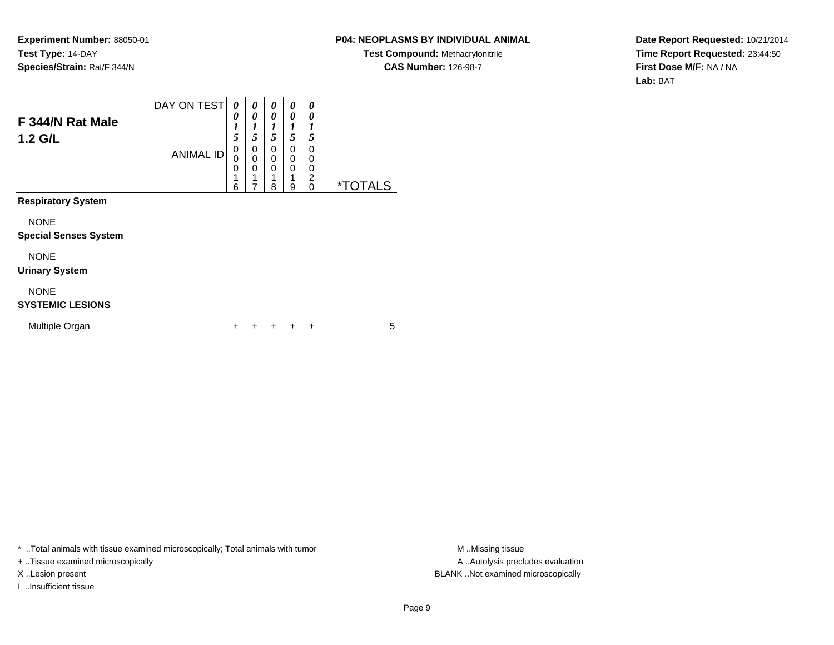### **P04: NEOPLASMS BY INDIVIDUAL ANIMAL**

**Test Compound:** Methacrylonitrile**CAS Number:** 126-98-7

**Date Report Requested:** 10/21/2014**Time Report Requested:** 23:44:50**First Dose M/F:** NA / NA**Lab:** BAT

| F 344/N Rat Male<br>1.2 G/L                 | DAY ON TEST      | 0<br>0<br>$\boldsymbol{l}$<br>5 | 0<br>0<br>$\boldsymbol{l}$<br>5 | 0<br>0<br>1<br>5 | 0<br>0<br>1<br>5      | 0<br>0<br>1<br>5                          |                       |
|---------------------------------------------|------------------|---------------------------------|---------------------------------|------------------|-----------------------|-------------------------------------------|-----------------------|
|                                             | <b>ANIMAL ID</b> | 0<br>0<br>0<br>1<br>6           | 0<br>0<br>0<br>1<br>7           | 0<br>0<br>0<br>8 | 0<br>0<br>0<br>1<br>9 | 0<br>0<br>0<br>$\overline{c}$<br>$\Omega$ | <i><b>*TOTALS</b></i> |
| <b>Respiratory System</b>                   |                  |                                 |                                 |                  |                       |                                           |                       |
| <b>NONE</b><br><b>Special Senses System</b> |                  |                                 |                                 |                  |                       |                                           |                       |
| <b>NONE</b><br><b>Urinary System</b>        |                  |                                 |                                 |                  |                       |                                           |                       |
| <b>NONE</b><br><b>SYSTEMIC LESIONS</b>      |                  |                                 |                                 |                  |                       |                                           |                       |
| Multiple Organ                              |                  | ÷                               |                                 |                  | ÷                     | ÷                                         | 5                     |

\* ..Total animals with tissue examined microscopically; Total animals with tumor **M** . Missing tissue M ..Missing tissue

+ ..Tissue examined microscopically

I ..Insufficient tissue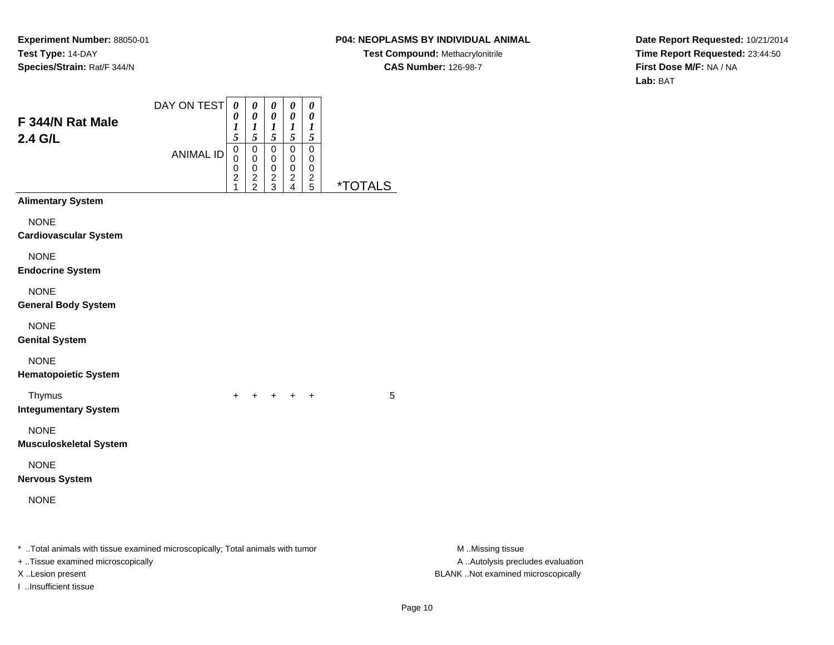# **P04: NEOPLASMS BY INDIVIDUAL ANIMAL**

**Test Compound:** Methacrylonitrile**CAS Number:** 126-98-7

**Date Report Requested:** 10/21/2014**Time Report Requested:** 23:44:50**First Dose M/F:** NA / NA**Lab:** BAT

| F 344/N Rat Male                                                                                                    | DAY ON TEST      | $\pmb{\theta}$<br>0<br>1                                              | 0<br>$\pmb{\theta}$                                             | $\pmb{\theta}$<br>$\pmb{\theta}$<br>$\boldsymbol{l}$     | 0<br>$\pmb{\theta}$<br>$\boldsymbol{l}$                                  | $\pmb{\theta}$<br>$\pmb{\theta}$<br>$\boldsymbol{l}$           |                       |                                                       |  |
|---------------------------------------------------------------------------------------------------------------------|------------------|-----------------------------------------------------------------------|-----------------------------------------------------------------|----------------------------------------------------------|--------------------------------------------------------------------------|----------------------------------------------------------------|-----------------------|-------------------------------------------------------|--|
| 2.4 G/L                                                                                                             | <b>ANIMAL ID</b> | 5<br>$\mathbf 0$<br>0<br>0<br>$\overline{\mathbf{c}}$<br>$\mathbf{1}$ | $\frac{1}{5}$<br>$\pmb{0}$<br>0<br>$\mathbf 0$<br>$\frac{2}{2}$ | 5<br>$\overline{0}$<br>0<br>$\mathbf 0$<br>$\frac{2}{3}$ | $\mathfrak{s}$<br>$\mathbf 0$<br>$\pmb{0}$<br>$\pmb{0}$<br>$\frac{2}{4}$ | $\mathfrak{s}$<br>$\pmb{0}$<br>0<br>$\pmb{0}$<br>$\frac{2}{5}$ | <i><b>*TOTALS</b></i> |                                                       |  |
| <b>Alimentary System</b>                                                                                            |                  |                                                                       |                                                                 |                                                          |                                                                          |                                                                |                       |                                                       |  |
| <b>NONE</b><br><b>Cardiovascular System</b>                                                                         |                  |                                                                       |                                                                 |                                                          |                                                                          |                                                                |                       |                                                       |  |
| <b>NONE</b><br><b>Endocrine System</b>                                                                              |                  |                                                                       |                                                                 |                                                          |                                                                          |                                                                |                       |                                                       |  |
| <b>NONE</b><br><b>General Body System</b>                                                                           |                  |                                                                       |                                                                 |                                                          |                                                                          |                                                                |                       |                                                       |  |
| <b>NONE</b><br><b>Genital System</b>                                                                                |                  |                                                                       |                                                                 |                                                          |                                                                          |                                                                |                       |                                                       |  |
| <b>NONE</b><br><b>Hematopoietic System</b>                                                                          |                  |                                                                       |                                                                 |                                                          |                                                                          |                                                                |                       |                                                       |  |
| Thymus<br><b>Integumentary System</b>                                                                               |                  | $+$                                                                   | $+$                                                             |                                                          | $+$ $+$                                                                  | $^{+}$                                                         | 5                     |                                                       |  |
| <b>NONE</b><br><b>Musculoskeletal System</b>                                                                        |                  |                                                                       |                                                                 |                                                          |                                                                          |                                                                |                       |                                                       |  |
| <b>NONE</b><br><b>Nervous System</b>                                                                                |                  |                                                                       |                                                                 |                                                          |                                                                          |                                                                |                       |                                                       |  |
| <b>NONE</b>                                                                                                         |                  |                                                                       |                                                                 |                                                          |                                                                          |                                                                |                       |                                                       |  |
| * Total animals with tissue examined microscopically; Total animals with tumor<br>+ Tissue examined microscopically |                  |                                                                       |                                                                 |                                                          |                                                                          |                                                                |                       | M Missing tissue<br>A  Autolysis precludes evaluation |  |
| X Lesion present                                                                                                    |                  |                                                                       |                                                                 |                                                          |                                                                          |                                                                |                       | BLANK Not examined microscopically                    |  |

I ..Insufficient tissue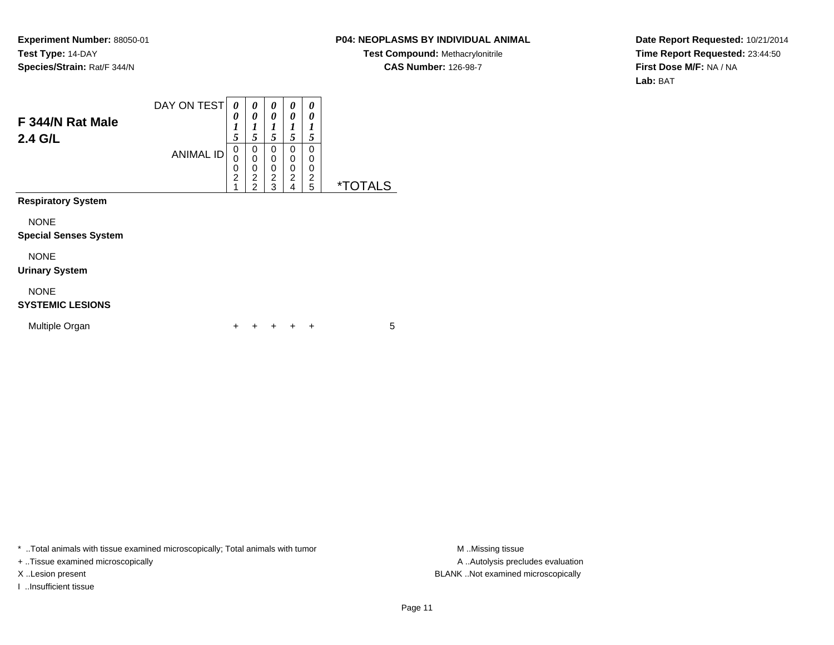### **P04: NEOPLASMS BY INDIVIDUAL ANIMAL**

**Test Compound:** Methacrylonitrile**CAS Number:** 126-98-7

**Date Report Requested:** 10/21/2014**Time Report Requested:** 23:44:50**First Dose M/F:** NA / NA**Lab:** BAT

| F 344/N Rat Male<br>2.4 G/L                 | DAY ON TEST<br><b>ANIMAL ID</b> | 0<br>0<br>$\boldsymbol{l}$<br>5<br>0<br>0 | 0<br>0<br>1<br>5<br>0<br>$\mathbf 0$  | 0<br>0<br>1<br>5<br>0<br>0 | 0<br>0<br>1<br>5<br>0<br>$\mathbf 0$            | 0<br>0<br>1<br>5<br>0<br>0 |                       |
|---------------------------------------------|---------------------------------|-------------------------------------------|---------------------------------------|----------------------------|-------------------------------------------------|----------------------------|-----------------------|
|                                             |                                 | 0<br>$\overline{2}$<br>1                  | 0<br>$\overline{2}$<br>$\overline{2}$ | 0<br>$\overline{2}$<br>3   | $\mathbf 0$<br>$\overline{2}$<br>$\overline{4}$ | 0<br>2<br>5                | <i><b>*TOTALS</b></i> |
| <b>Respiratory System</b>                   |                                 |                                           |                                       |                            |                                                 |                            |                       |
| <b>NONE</b><br><b>Special Senses System</b> |                                 |                                           |                                       |                            |                                                 |                            |                       |
| <b>NONE</b><br><b>Urinary System</b>        |                                 |                                           |                                       |                            |                                                 |                            |                       |
| <b>NONE</b><br><b>SYSTEMIC LESIONS</b>      |                                 |                                           |                                       |                            |                                                 |                            |                       |
| Multiple Organ                              |                                 |                                           |                                       |                            |                                                 | +                          | 5                     |

\* ..Total animals with tissue examined microscopically; Total animals with tumor **M** . Missing tissue M ..Missing tissue

+ ..Tissue examined microscopically

I ..Insufficient tissue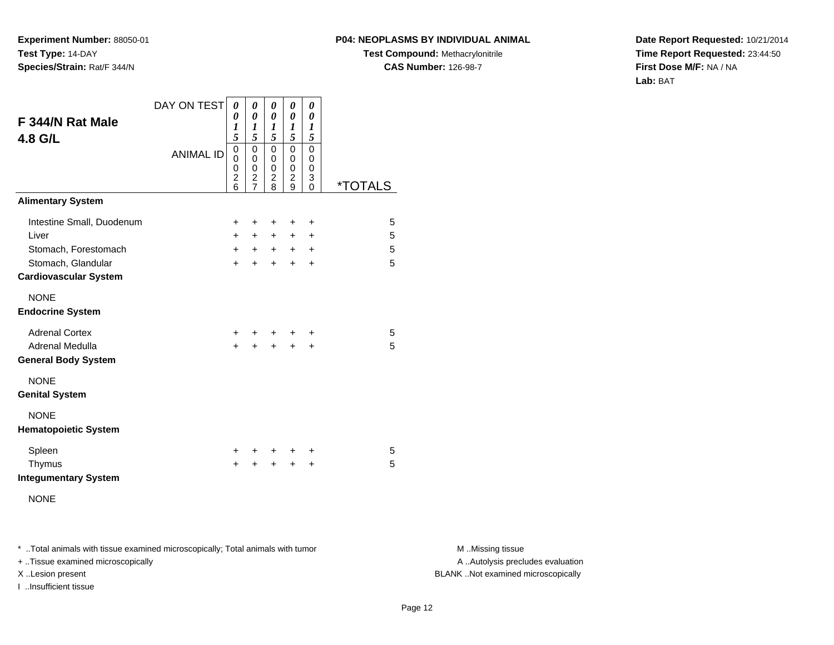#### **P04: NEOPLASMS BY INDIVIDUAL ANIMAL**

**Test Compound:** Methacrylonitrile**CAS Number:** 126-98-7

**Date Report Requested:** 10/21/2014**Time Report Requested:** 23:44:50**First Dose M/F:** NA / NA**Lab:** BAT

| F 344/N Rat Male<br>4.8 G/L                                                | DAY ON TEST      | 0<br>0<br>1<br>5                             | 0<br>0<br>1<br>5                                         | 0<br>0<br>1<br>5                               | 0<br>0<br>1<br>5                             | 0<br>0<br>1<br>5      |                       |
|----------------------------------------------------------------------------|------------------|----------------------------------------------|----------------------------------------------------------|------------------------------------------------|----------------------------------------------|-----------------------|-----------------------|
|                                                                            | <b>ANIMAL ID</b> | $\mathbf 0$<br>0<br>0<br>$\overline{c}$<br>6 | 0<br>0<br>0<br>$\overline{\mathbf{c}}$<br>$\overline{7}$ | 0<br>0<br>$\mathbf 0$<br>$\boldsymbol{2}$<br>8 | 0<br>0<br>$\mathbf 0$<br>$\overline{c}$<br>9 | 0<br>0<br>0<br>3<br>0 | <i><b>*TOTALS</b></i> |
| <b>Alimentary System</b>                                                   |                  |                                              |                                                          |                                                |                                              |                       |                       |
| Intestine Small, Duodenum<br>Liver                                         |                  | +<br>$+$<br>$+$                              | ÷<br>$+$<br>$+$                                          | +<br>+<br>$+$                                  | +<br>+<br>$+$                                | +<br>+<br>$\ddot{}$   | 5<br>5<br>5           |
| Stomach, Forestomach<br>Stomach, Glandular<br><b>Cardiovascular System</b> |                  | $+$                                          | $\ddot{}$                                                | $\ddot{}$                                      | $\ddot{}$                                    | $\ddot{}$             | 5                     |
| <b>NONE</b><br><b>Endocrine System</b>                                     |                  |                                              |                                                          |                                                |                                              |                       |                       |
| <b>Adrenal Cortex</b><br>Adrenal Medulla<br><b>General Body System</b>     |                  | +<br>$\ddot{}$                               | +<br>$\ddot{}$                                           | +<br>$\ddot{}$                                 | $\ddot{}$<br>$\ddot{}$                       | +<br>$\ddot{}$        | 5<br>5                |
| <b>NONE</b><br><b>Genital System</b>                                       |                  |                                              |                                                          |                                                |                                              |                       |                       |
| <b>NONE</b><br><b>Hematopoietic System</b>                                 |                  |                                              |                                                          |                                                |                                              |                       |                       |
| Spleen<br>Thymus<br><b>Integumentary System</b>                            |                  | $\pm$<br>$\ddot{}$                           | +                                                        | $\ddot{}$<br>$\ddot{}$                         | ÷<br>$\ddot{}$                               | ÷<br>$\ddot{}$        | 5<br>5                |
| <b>NONE</b>                                                                |                  |                                              |                                                          |                                                |                                              |                       |                       |

\* ..Total animals with tissue examined microscopically; Total animals with tumor **M** . Missing tissue M ..Missing tissue

+ ..Tissue examined microscopically

I ..Insufficient tissue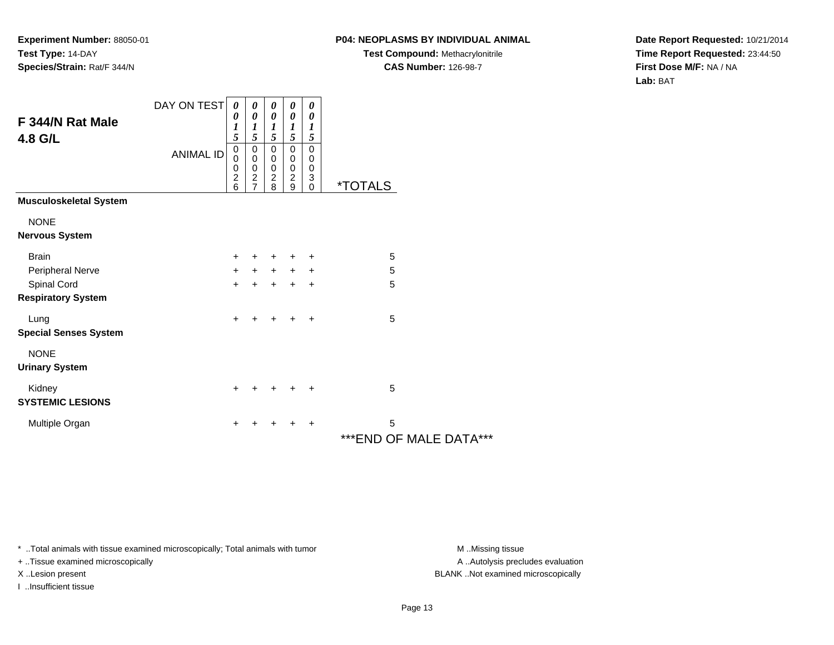# **P04: NEOPLASMS BY INDIVIDUAL ANIMAL**

**Test Compound:** Methacrylonitrile**CAS Number:** 126-98-7

**Date Report Requested:** 10/21/2014**Time Report Requested:** 23:44:50**First Dose M/F:** NA / NA**Lab:** BAT

| F 344/N Rat Male<br>4.8 G/L              | DAY ON TEST      | 0<br>0<br>1<br>5                             | 0<br>$\boldsymbol{\theta}$<br>$\boldsymbol{l}$<br>5                         | 0<br>$\boldsymbol{\theta}$<br>$\boldsymbol{l}$<br>5  | 0<br>0<br>$\boldsymbol{l}$<br>5                      | 0<br>0<br>$\boldsymbol{l}$<br>$\sqrt{5}$                                |                              |
|------------------------------------------|------------------|----------------------------------------------|-----------------------------------------------------------------------------|------------------------------------------------------|------------------------------------------------------|-------------------------------------------------------------------------|------------------------------|
|                                          | <b>ANIMAL ID</b> | $\pmb{0}$<br>0<br>0<br>$\boldsymbol{2}$<br>6 | $\pmb{0}$<br>$\mathbf 0$<br>$\pmb{0}$<br>$\boldsymbol{2}$<br>$\overline{7}$ | $\mathbf 0$<br>0<br>$\pmb{0}$<br>$\overline{c}$<br>8 | $\mathbf 0$<br>0<br>$\pmb{0}$<br>$\overline{c}$<br>9 | $\mathbf 0$<br>0<br>$\,0\,$<br>$\ensuremath{\mathsf{3}}$<br>$\mathbf 0$ | <i><b>*TOTALS</b></i>        |
| <b>Musculoskeletal System</b>            |                  |                                              |                                                                             |                                                      |                                                      |                                                                         |                              |
| <b>NONE</b><br><b>Nervous System</b>     |                  |                                              |                                                                             |                                                      |                                                      |                                                                         |                              |
| <b>Brain</b>                             |                  | $\ddot{}$                                    | $\pm$                                                                       | +                                                    | +                                                    | $\ddot{}$                                                               | 5                            |
| Peripheral Nerve                         |                  | $\ddot{}$                                    | $+$                                                                         | $+$                                                  | $+$                                                  | $\ddot{}$                                                               | 5                            |
| Spinal Cord<br><b>Respiratory System</b> |                  | $\ddot{}$                                    | $\ddot{}$                                                                   | $\ddot{}$                                            | $\ddot{}$                                            | $\ddot{}$                                                               | $\overline{5}$               |
| Lung<br><b>Special Senses System</b>     |                  | $+$                                          | ٠                                                                           | $\ddot{}$                                            | $\ddot{}$                                            | $\ddot{}$                                                               | 5                            |
| <b>NONE</b><br><b>Urinary System</b>     |                  |                                              |                                                                             |                                                      |                                                      |                                                                         |                              |
| Kidney<br><b>SYSTEMIC LESIONS</b>        |                  | $+$                                          | ٠                                                                           | $\pm$                                                | $\pm$                                                | ÷                                                                       | 5                            |
| Multiple Organ                           |                  | +                                            | ٠                                                                           | ٠                                                    | ÷                                                    | $\ddot{}$                                                               | 5<br>*** END OF MALE DATA*** |

\* ..Total animals with tissue examined microscopically; Total animals with tumor **M** . Missing tissue M ..Missing tissue

+ ..Tissue examined microscopically

I ..Insufficient tissue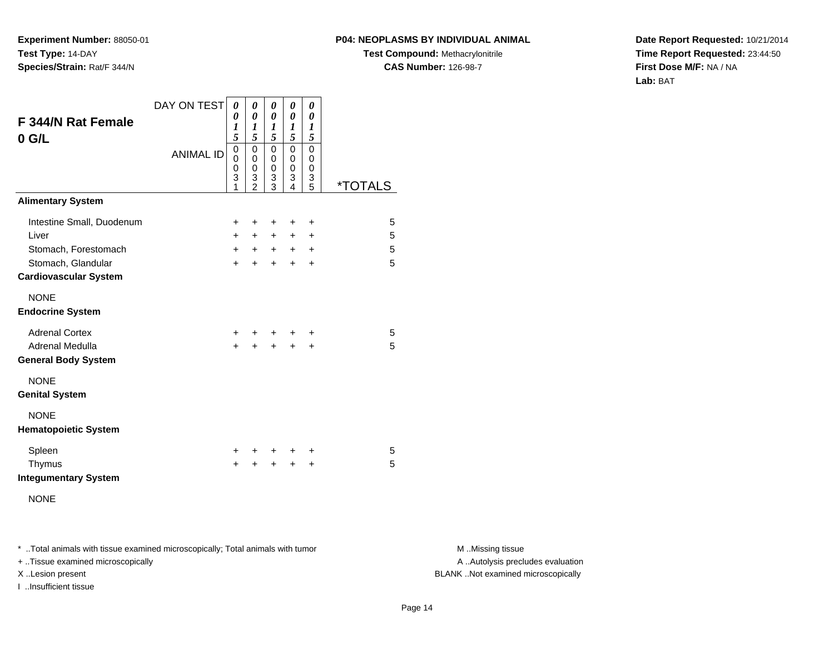#### **P04: NEOPLASMS BY INDIVIDUAL ANIMAL**

**Test Compound:** Methacrylonitrile**CAS Number:** 126-98-7

**Date Report Requested:** 10/21/2014**Time Report Requested:** 23:44:50**First Dose M/F:** NA / NA**Lab:** BAT

| F 344/N Rat Female<br>$0$ G/L                                                                                    | DAY ON TEST      | 0<br>0<br>$\boldsymbol{l}$<br>5 | 0<br>0<br>1<br>5                   | 0<br>0<br>1<br>5               | 0<br>0<br>1<br>5         | 0<br>0<br>$\boldsymbol{l}$<br>5               |                       |
|------------------------------------------------------------------------------------------------------------------|------------------|---------------------------------|------------------------------------|--------------------------------|--------------------------|-----------------------------------------------|-----------------------|
|                                                                                                                  | <b>ANIMAL ID</b> | 0<br>0<br>0<br>3<br>1           | 0<br>0<br>0<br>3<br>$\mathfrak{p}$ | 0<br>0<br>0<br>3<br>3          | 0<br>0<br>0<br>3<br>4    | 0<br>0<br>0<br>$\ensuremath{\mathsf{3}}$<br>5 | <i><b>*TOTALS</b></i> |
| <b>Alimentary System</b>                                                                                         |                  |                                 |                                    |                                |                          |                                               |                       |
| Intestine Small, Duodenum<br>Liver<br>Stomach, Forestomach<br>Stomach, Glandular<br><b>Cardiovascular System</b> |                  | $\pm$<br>$+$<br>$+$<br>$+$      | +<br>$+$<br>$+$<br>$\ddot{}$       | $\ddot{}$<br>$+$<br>$+$<br>$+$ | +<br>$\pm$<br>$+$<br>$+$ | $\ddot{}$<br>$\pm$<br>$\ddot{}$<br>$\ddot{}$  | 5<br>5<br>5<br>5      |
| <b>NONE</b><br><b>Endocrine System</b>                                                                           |                  |                                 |                                    |                                |                          |                                               |                       |
| <b>Adrenal Cortex</b><br>Adrenal Medulla<br><b>General Body System</b>                                           |                  | $\pm$<br>$\ddot{}$              | +<br>$\ddot{}$                     | ٠<br>$\ddot{}$                 | ٠<br>$\ddot{}$           | ÷<br>+                                        | 5<br>5                |
| <b>NONE</b><br><b>Genital System</b>                                                                             |                  |                                 |                                    |                                |                          |                                               |                       |
| <b>NONE</b><br><b>Hematopoietic System</b>                                                                       |                  |                                 |                                    |                                |                          |                                               |                       |
| Spleen<br>Thymus<br><b>Integumentary System</b><br><b>NONE</b>                                                   |                  | $\pm$<br>$\ddot{}$              | +                                  | $\ddot{}$<br>$\ddot{}$         | $\div$<br>$\ddot{}$      | +<br>$\ddot{}$                                | 5<br>5                |

\* ..Total animals with tissue examined microscopically; Total animals with tumor **M** . Missing tissue M ..Missing tissue

+ ..Tissue examined microscopically

I ..Insufficient tissue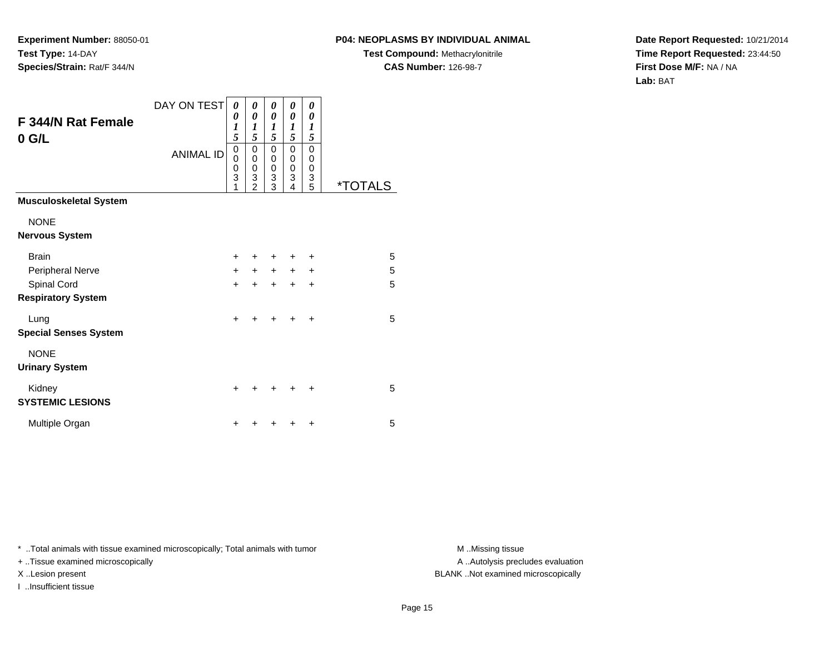# **P04: NEOPLASMS BY INDIVIDUAL ANIMAL**

**Test Compound:** Methacrylonitrile**CAS Number:** 126-98-7

**Date Report Requested:** 10/21/2014**Time Report Requested:** 23:44:50**First Dose M/F:** NA / NA**Lab:** BAT

| F 344/N Rat Female<br>$0$ G/L            | DAY ON TEST<br><b>ANIMAL ID</b> | 0<br>0<br>$\boldsymbol{l}$<br>5<br>$\mathbf 0$<br>0<br>0<br>3<br>1 | 0<br>0<br>1<br>5<br>0<br>0<br>$\boldsymbol{0}$<br>3<br>$\mathfrak{p}$ | 0<br>0<br>1<br>5<br>0<br>0<br>$\boldsymbol{0}$<br>3<br>$\overline{3}$ | 0<br>0<br>1<br>5<br>$\mathbf 0$<br>$\mathbf 0$<br>$\mathbf 0$<br>3<br>4 | 0<br>0<br>1<br>5<br>0<br>0<br>0<br>3<br>5 | <i><b>*TOTALS</b></i> |
|------------------------------------------|---------------------------------|--------------------------------------------------------------------|-----------------------------------------------------------------------|-----------------------------------------------------------------------|-------------------------------------------------------------------------|-------------------------------------------|-----------------------|
| <b>Musculoskeletal System</b>            |                                 |                                                                    |                                                                       |                                                                       |                                                                         |                                           |                       |
| <b>NONE</b><br><b>Nervous System</b>     |                                 |                                                                    |                                                                       |                                                                       |                                                                         |                                           |                       |
| <b>Brain</b>                             |                                 | $\ddot{}$                                                          |                                                                       | ٠                                                                     | $\ddot{}$                                                               | $\ddot{}$                                 | 5                     |
| Peripheral Nerve                         |                                 | $+$                                                                | $+$                                                                   | $+$                                                                   | $+$                                                                     | +                                         | 5                     |
| Spinal Cord<br><b>Respiratory System</b> |                                 | $\ddot{}$                                                          | +                                                                     | $\ddot{}$                                                             | $\ddot{}$                                                               | $\ddot{}$                                 | 5                     |
| Lung<br><b>Special Senses System</b>     |                                 | $\ddot{}$                                                          | $\div$                                                                | $\div$                                                                | $\div$                                                                  | $\div$                                    | 5                     |
| <b>NONE</b><br><b>Urinary System</b>     |                                 |                                                                    |                                                                       |                                                                       |                                                                         |                                           |                       |
| Kidney<br><b>SYSTEMIC LESIONS</b>        |                                 | $\ddot{}$                                                          |                                                                       | +                                                                     |                                                                         | ÷                                         | 5                     |
| Multiple Organ                           |                                 | +                                                                  |                                                                       |                                                                       |                                                                         | ٠                                         | 5                     |

\* ..Total animals with tissue examined microscopically; Total animals with tumor **M** . Missing tissue M ..Missing tissue

+ ..Tissue examined microscopically

I ..Insufficient tissue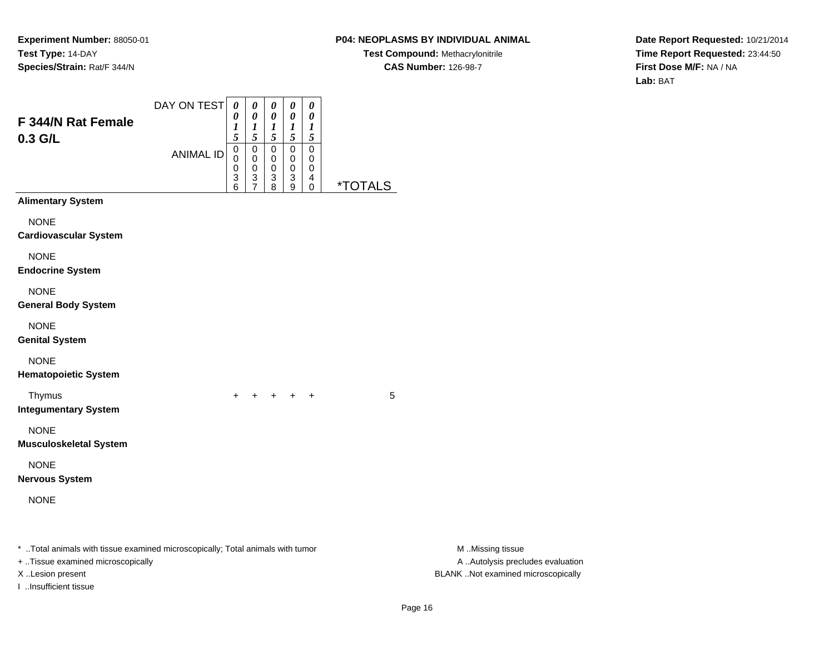# **P04: NEOPLASMS BY INDIVIDUAL ANIMAL**

**Test Compound:** Methacrylonitrile**CAS Number:** 126-98-7

**Date Report Requested:** 10/21/2014**Time Report Requested:** 23:44:50**First Dose M/F:** NA / NA**Lab:** BAT

| F 344/N Rat Female<br>0.3 G/L                                                                                                           | DAY ON TEST<br><b>ANIMAL ID</b> | $\pmb{\theta}$<br>0<br>1<br>5<br>$\pmb{0}$<br>0<br>0<br>$\frac{3}{6}$ | $\pmb{\theta}$<br>$\pmb{\theta}$<br>$\boldsymbol{l}$<br>5<br>$\mathsf 0$<br>$\pmb{0}$<br>$\pmb{0}$<br>$\frac{3}{7}$ | $\pmb{\theta}$<br>$\pmb{\theta}$<br>$\boldsymbol{l}$<br>5<br>$\mathbf 0$<br>$\pmb{0}$<br>$\,0\,$<br>$\frac{3}{8}$ | $\pmb{\theta}$<br>$\pmb{\theta}$<br>$\boldsymbol{l}$<br>$\sqrt{5}$<br>$\pmb{0}$<br>$\pmb{0}$<br>$\pmb{0}$<br>3<br>9 | $\pmb{\theta}$<br>$\pmb{\theta}$<br>$\boldsymbol{l}$<br>$\sqrt{5}$<br>$\mathbf 0$<br>$\pmb{0}$<br>0<br>$\overline{\mathbf{r}}$<br>0 | <i><b>*TOTALS</b></i> |                                                                                             |
|-----------------------------------------------------------------------------------------------------------------------------------------|---------------------------------|-----------------------------------------------------------------------|---------------------------------------------------------------------------------------------------------------------|-------------------------------------------------------------------------------------------------------------------|---------------------------------------------------------------------------------------------------------------------|-------------------------------------------------------------------------------------------------------------------------------------|-----------------------|---------------------------------------------------------------------------------------------|
| <b>Alimentary System</b>                                                                                                                |                                 |                                                                       |                                                                                                                     |                                                                                                                   |                                                                                                                     |                                                                                                                                     |                       |                                                                                             |
| <b>NONE</b><br><b>Cardiovascular System</b>                                                                                             |                                 |                                                                       |                                                                                                                     |                                                                                                                   |                                                                                                                     |                                                                                                                                     |                       |                                                                                             |
| <b>NONE</b><br><b>Endocrine System</b>                                                                                                  |                                 |                                                                       |                                                                                                                     |                                                                                                                   |                                                                                                                     |                                                                                                                                     |                       |                                                                                             |
| <b>NONE</b><br><b>General Body System</b>                                                                                               |                                 |                                                                       |                                                                                                                     |                                                                                                                   |                                                                                                                     |                                                                                                                                     |                       |                                                                                             |
| <b>NONE</b><br><b>Genital System</b>                                                                                                    |                                 |                                                                       |                                                                                                                     |                                                                                                                   |                                                                                                                     |                                                                                                                                     |                       |                                                                                             |
| <b>NONE</b><br><b>Hematopoietic System</b>                                                                                              |                                 |                                                                       |                                                                                                                     |                                                                                                                   |                                                                                                                     |                                                                                                                                     |                       |                                                                                             |
| Thymus<br><b>Integumentary System</b>                                                                                                   |                                 | $+$                                                                   |                                                                                                                     | + + + +                                                                                                           |                                                                                                                     |                                                                                                                                     | 5                     |                                                                                             |
| <b>NONE</b><br><b>Musculoskeletal System</b>                                                                                            |                                 |                                                                       |                                                                                                                     |                                                                                                                   |                                                                                                                     |                                                                                                                                     |                       |                                                                                             |
| <b>NONE</b><br><b>Nervous System</b>                                                                                                    |                                 |                                                                       |                                                                                                                     |                                                                                                                   |                                                                                                                     |                                                                                                                                     |                       |                                                                                             |
| <b>NONE</b>                                                                                                                             |                                 |                                                                       |                                                                                                                     |                                                                                                                   |                                                                                                                     |                                                                                                                                     |                       |                                                                                             |
| * Total animals with tissue examined microscopically; Total animals with tumor<br>+ Tissue examined microscopically<br>X Lesion present |                                 |                                                                       |                                                                                                                     |                                                                                                                   |                                                                                                                     |                                                                                                                                     |                       | M Missing tissue<br>A  Autolysis precludes evaluation<br>BLANK Not examined microscopically |

I ..Insufficient tissue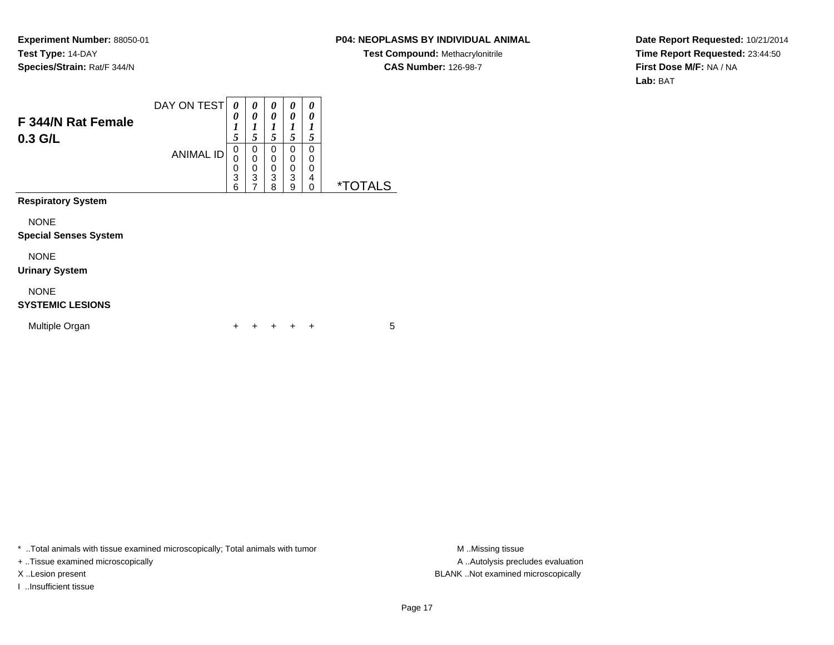### **P04: NEOPLASMS BY INDIVIDUAL ANIMAL**

**Test Compound:** Methacrylonitrile**CAS Number:** 126-98-7

**Date Report Requested:** 10/21/2014**Time Report Requested:** 23:44:50**First Dose M/F:** NA / NA**Lab:** BAT

| F 344/N Rat Female<br>0.3 G/L               | DAY ON TEST<br><b>ANIMAL ID</b> | 0<br>0<br>1<br>5<br>0<br>0<br>0<br>3 | 0<br>0<br>1<br>5<br>0<br>$\mathbf 0$<br>$\frac{0}{3}$ | 0<br>0<br>1<br>5<br>0<br>0<br>0<br>3 | 0<br>0<br>1<br>5<br>0<br>0<br>0<br>3 | 0<br>0<br>1<br>5<br>$\Omega$<br>0<br>0<br>4 |                       |  |
|---------------------------------------------|---------------------------------|--------------------------------------|-------------------------------------------------------|--------------------------------------|--------------------------------------|---------------------------------------------|-----------------------|--|
| <b>Respiratory System</b>                   |                                 | 6                                    | $\overline{7}$                                        | 8                                    | 9                                    | 0                                           | <i><b>*TOTALS</b></i> |  |
| <b>NONE</b><br><b>Special Senses System</b> |                                 |                                      |                                                       |                                      |                                      |                                             |                       |  |
| <b>NONE</b><br><b>Urinary System</b>        |                                 |                                      |                                                       |                                      |                                      |                                             |                       |  |
| <b>NONE</b><br><b>SYSTEMIC LESIONS</b>      |                                 |                                      |                                                       |                                      |                                      |                                             |                       |  |
| Multiple Organ                              |                                 | ÷                                    |                                                       |                                      |                                      | ÷                                           | 5                     |  |

\* ..Total animals with tissue examined microscopically; Total animals with tumor **M** . Missing tissue M ..Missing tissue

+ ..Tissue examined microscopically

I ..Insufficient tissue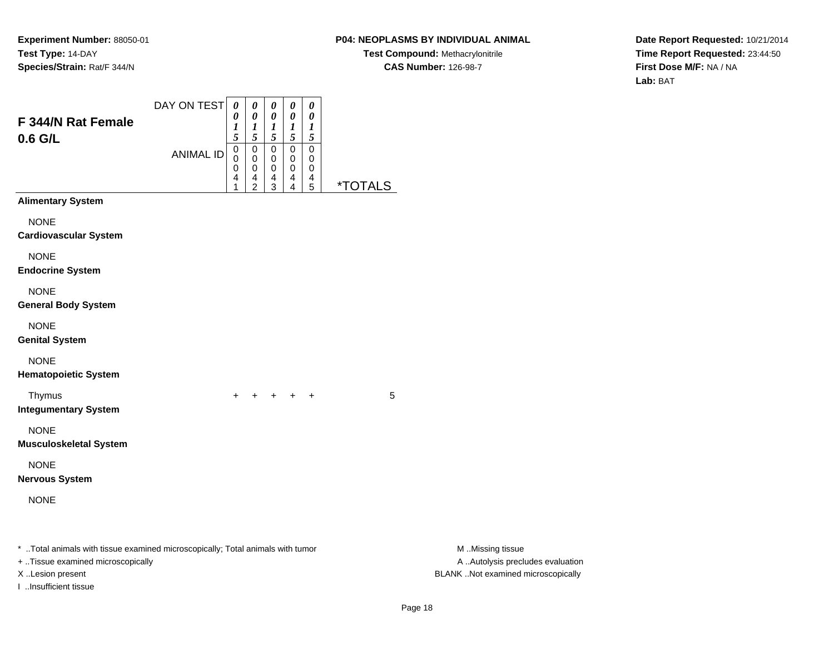# **P04: NEOPLASMS BY INDIVIDUAL ANIMAL**

**Test Compound:** Methacrylonitrile**CAS Number:** 126-98-7

**Date Report Requested:** 10/21/2014**Time Report Requested:** 23:44:50**First Dose M/F:** NA / NA**Lab:** BAT

| F 344/N Rat Female<br>0.6 G/L                                                                                                           | DAY ON TEST<br><b>ANIMAL ID</b> | $\boldsymbol{\theta}$<br>0<br>1<br>5<br>$\mathbf 0$<br>0<br>0<br>4<br>1 | $\boldsymbol{\theta}$<br>$\pmb{\theta}$<br>$\boldsymbol{l}$<br>$\sqrt{5}$<br>$\mathbf 0$<br>$\mathbf 0$<br>0<br>4<br>$\overline{2}$ | $\pmb{\theta}$<br>$\pmb{\theta}$<br>$\boldsymbol{l}$<br>$\sqrt{5}$<br>$\mathbf 0$<br>$\pmb{0}$<br>$\pmb{0}$<br>$\frac{4}{3}$ | 0<br>$\pmb{\theta}$<br>$\boldsymbol{l}$<br>$\sqrt{5}$<br>$\pmb{0}$<br>0<br>0<br>4<br>4 | $\boldsymbol{\theta}$<br>$\pmb{\theta}$<br>$\boldsymbol{l}$<br>$\sqrt{5}$<br>$\pmb{0}$<br>0<br>0<br>$\begin{array}{c} 4 \\ 5 \end{array}$ | <i><b>*TOTALS</b></i> |                                                                                             |
|-----------------------------------------------------------------------------------------------------------------------------------------|---------------------------------|-------------------------------------------------------------------------|-------------------------------------------------------------------------------------------------------------------------------------|------------------------------------------------------------------------------------------------------------------------------|----------------------------------------------------------------------------------------|-------------------------------------------------------------------------------------------------------------------------------------------|-----------------------|---------------------------------------------------------------------------------------------|
| <b>Alimentary System</b>                                                                                                                |                                 |                                                                         |                                                                                                                                     |                                                                                                                              |                                                                                        |                                                                                                                                           |                       |                                                                                             |
| <b>NONE</b><br><b>Cardiovascular System</b>                                                                                             |                                 |                                                                         |                                                                                                                                     |                                                                                                                              |                                                                                        |                                                                                                                                           |                       |                                                                                             |
| <b>NONE</b><br><b>Endocrine System</b>                                                                                                  |                                 |                                                                         |                                                                                                                                     |                                                                                                                              |                                                                                        |                                                                                                                                           |                       |                                                                                             |
| <b>NONE</b><br><b>General Body System</b>                                                                                               |                                 |                                                                         |                                                                                                                                     |                                                                                                                              |                                                                                        |                                                                                                                                           |                       |                                                                                             |
| <b>NONE</b><br><b>Genital System</b>                                                                                                    |                                 |                                                                         |                                                                                                                                     |                                                                                                                              |                                                                                        |                                                                                                                                           |                       |                                                                                             |
| <b>NONE</b><br><b>Hematopoietic System</b>                                                                                              |                                 |                                                                         |                                                                                                                                     |                                                                                                                              |                                                                                        |                                                                                                                                           |                       |                                                                                             |
| Thymus<br><b>Integumentary System</b>                                                                                                   |                                 | $+$                                                                     |                                                                                                                                     |                                                                                                                              | $+$ $+$ $+$ $+$                                                                        |                                                                                                                                           | 5                     |                                                                                             |
| <b>NONE</b><br><b>Musculoskeletal System</b>                                                                                            |                                 |                                                                         |                                                                                                                                     |                                                                                                                              |                                                                                        |                                                                                                                                           |                       |                                                                                             |
| <b>NONE</b><br><b>Nervous System</b>                                                                                                    |                                 |                                                                         |                                                                                                                                     |                                                                                                                              |                                                                                        |                                                                                                                                           |                       |                                                                                             |
| <b>NONE</b>                                                                                                                             |                                 |                                                                         |                                                                                                                                     |                                                                                                                              |                                                                                        |                                                                                                                                           |                       |                                                                                             |
| * Total animals with tissue examined microscopically; Total animals with tumor<br>+ Tissue examined microscopically<br>X Lesion present |                                 |                                                                         |                                                                                                                                     |                                                                                                                              |                                                                                        |                                                                                                                                           |                       | M Missing tissue<br>A  Autolysis precludes evaluation<br>BLANK Not examined microscopically |

I ..Insufficient tissue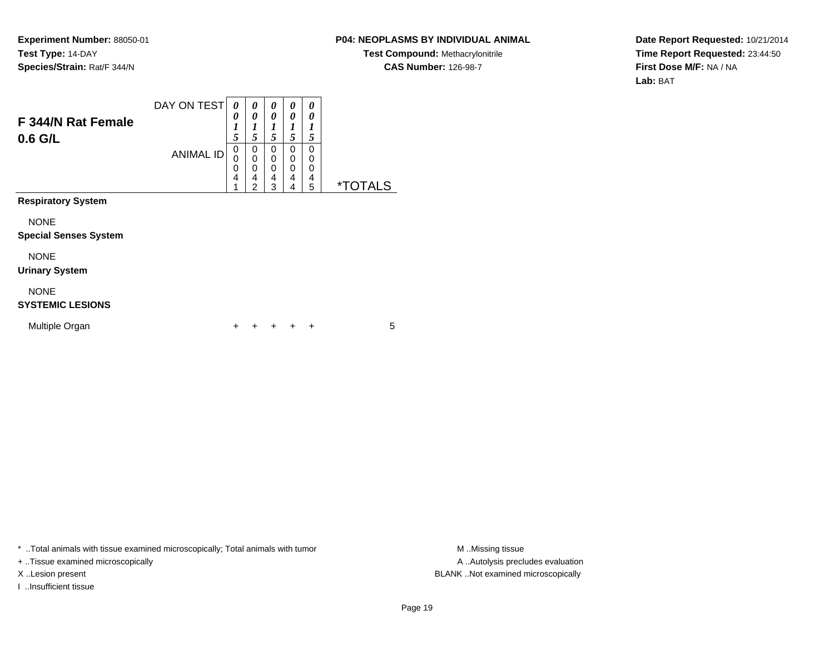### **P04: NEOPLASMS BY INDIVIDUAL ANIMAL**

**Test Compound:** Methacrylonitrile**CAS Number:** 126-98-7

**Date Report Requested:** 10/21/2014**Time Report Requested:** 23:44:50**First Dose M/F:** NA / NA**Lab:** BAT

| F 344/N Rat Female<br>$0.6$ G/L             | DAY ON TEST<br><b>ANIMAL ID</b> | 0<br>0<br>1<br>5<br>$\mathbf 0$<br>0<br>0<br>4<br>4 | 0<br>0<br>1<br>5<br>0<br>0<br>$\mathbf 0$<br>4<br>$\overline{2}$ | 0<br>0<br>1<br>5<br>0<br>0<br>0<br>4<br>3 | 0<br>0<br>1<br>5<br>0<br>0<br>0<br>4<br>4 | 0<br>0<br>1<br>5<br>0<br>0<br>0<br>4<br>5 | <i><b>*TOTALS</b></i> |
|---------------------------------------------|---------------------------------|-----------------------------------------------------|------------------------------------------------------------------|-------------------------------------------|-------------------------------------------|-------------------------------------------|-----------------------|
| <b>Respiratory System</b>                   |                                 |                                                     |                                                                  |                                           |                                           |                                           |                       |
| <b>NONE</b><br><b>Special Senses System</b> |                                 |                                                     |                                                                  |                                           |                                           |                                           |                       |
| <b>NONE</b><br><b>Urinary System</b>        |                                 |                                                     |                                                                  |                                           |                                           |                                           |                       |
| <b>NONE</b><br><b>SYSTEMIC LESIONS</b>      |                                 |                                                     |                                                                  |                                           |                                           |                                           |                       |
| Multiple Organ                              |                                 |                                                     |                                                                  |                                           |                                           | ÷                                         | 5                     |

\* ..Total animals with tissue examined microscopically; Total animals with tumor **M** . Missing tissue M ..Missing tissue

+ ..Tissue examined microscopically

I ..Insufficient tissue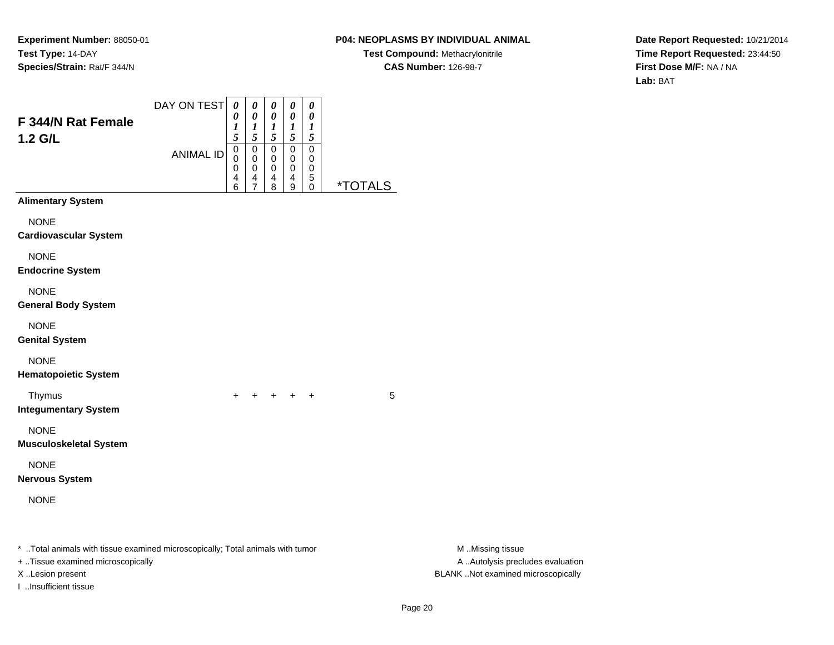# **P04: NEOPLASMS BY INDIVIDUAL ANIMAL**

**Test Compound:** Methacrylonitrile**CAS Number:** 126-98-7

**Date Report Requested:** 10/21/2014**Time Report Requested:** 23:44:50**First Dose M/F:** NA / NA**Lab:** BAT

| F 344/N Rat Female<br>1.2 G/L                                                                                                           | DAY ON TEST<br><b>ANIMAL ID</b> | $\boldsymbol{\theta}$<br>0<br>1<br>5<br>$\pmb{0}$<br>0<br>$\boldsymbol{0}$<br>4<br>6 | 0<br>$\pmb{\theta}$<br>$\boldsymbol{l}$<br>5<br>$\pmb{0}$<br>$\pmb{0}$<br>$\pmb{0}$<br>4<br>$\overline{7}$ | 0<br>$\pmb{\theta}$<br>$\boldsymbol{l}$<br>5<br>$\pmb{0}$<br>$\pmb{0}$<br>$\pmb{0}$<br>4<br>8 | $\pmb{\theta}$<br>$\pmb{\theta}$<br>$\boldsymbol{l}$<br>$\sqrt{5}$<br>$\overline{0}$<br>$\pmb{0}$<br>$\pmb{0}$<br>$\overline{\mathbf{4}}$<br>9 | $\pmb{\theta}$<br>$\pmb{\theta}$<br>$\boldsymbol{l}$<br>$\sqrt{5}$<br>$\overline{0}$<br>$\pmb{0}$<br>0<br>$\overline{5}$ | <i><b>*TOTALS</b></i> |                                                                                             |
|-----------------------------------------------------------------------------------------------------------------------------------------|---------------------------------|--------------------------------------------------------------------------------------|------------------------------------------------------------------------------------------------------------|-----------------------------------------------------------------------------------------------|------------------------------------------------------------------------------------------------------------------------------------------------|--------------------------------------------------------------------------------------------------------------------------|-----------------------|---------------------------------------------------------------------------------------------|
| <b>Alimentary System</b>                                                                                                                |                                 |                                                                                      |                                                                                                            |                                                                                               |                                                                                                                                                |                                                                                                                          |                       |                                                                                             |
| <b>NONE</b><br><b>Cardiovascular System</b>                                                                                             |                                 |                                                                                      |                                                                                                            |                                                                                               |                                                                                                                                                |                                                                                                                          |                       |                                                                                             |
| <b>NONE</b><br><b>Endocrine System</b>                                                                                                  |                                 |                                                                                      |                                                                                                            |                                                                                               |                                                                                                                                                |                                                                                                                          |                       |                                                                                             |
| <b>NONE</b><br><b>General Body System</b>                                                                                               |                                 |                                                                                      |                                                                                                            |                                                                                               |                                                                                                                                                |                                                                                                                          |                       |                                                                                             |
| <b>NONE</b><br><b>Genital System</b>                                                                                                    |                                 |                                                                                      |                                                                                                            |                                                                                               |                                                                                                                                                |                                                                                                                          |                       |                                                                                             |
| <b>NONE</b><br><b>Hematopoietic System</b>                                                                                              |                                 |                                                                                      |                                                                                                            |                                                                                               |                                                                                                                                                |                                                                                                                          |                       |                                                                                             |
| Thymus<br><b>Integumentary System</b>                                                                                                   |                                 | $+$                                                                                  |                                                                                                            |                                                                                               | + + + +                                                                                                                                        |                                                                                                                          | 5                     |                                                                                             |
| <b>NONE</b><br><b>Musculoskeletal System</b>                                                                                            |                                 |                                                                                      |                                                                                                            |                                                                                               |                                                                                                                                                |                                                                                                                          |                       |                                                                                             |
| <b>NONE</b><br><b>Nervous System</b>                                                                                                    |                                 |                                                                                      |                                                                                                            |                                                                                               |                                                                                                                                                |                                                                                                                          |                       |                                                                                             |
| <b>NONE</b>                                                                                                                             |                                 |                                                                                      |                                                                                                            |                                                                                               |                                                                                                                                                |                                                                                                                          |                       |                                                                                             |
| * Total animals with tissue examined microscopically; Total animals with tumor<br>+ Tissue examined microscopically<br>X Lesion present |                                 |                                                                                      |                                                                                                            |                                                                                               |                                                                                                                                                |                                                                                                                          |                       | M Missing tissue<br>A  Autolysis precludes evaluation<br>BLANK Not examined microscopically |

Page 20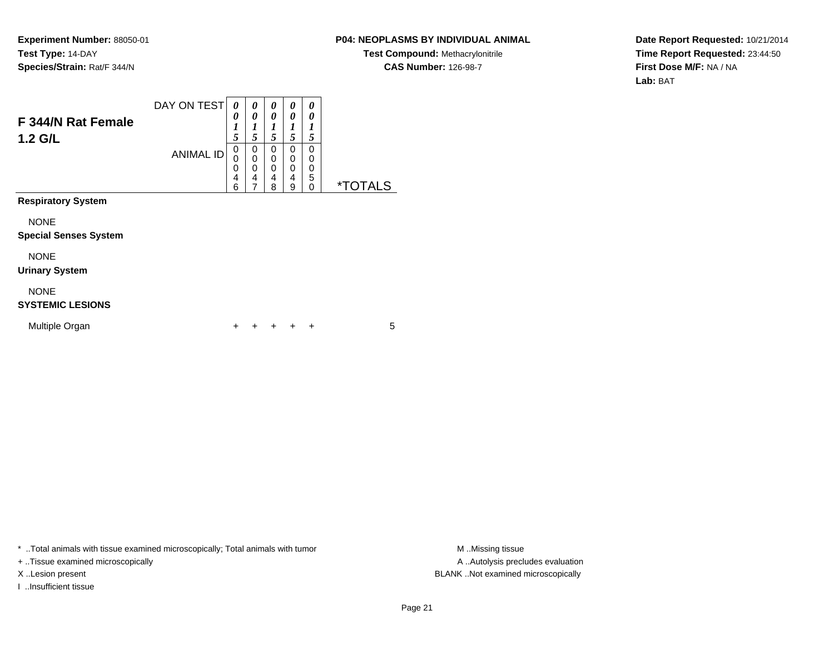### **P04: NEOPLASMS BY INDIVIDUAL ANIMAL**

**Test Compound:** Methacrylonitrile**CAS Number:** 126-98-7

**Date Report Requested:** 10/21/2014**Time Report Requested:** 23:44:50**First Dose M/F:** NA / NA**Lab:** BAT

| F 344/N Rat Female<br>1.2 G/L               | DAY ON TEST      | 0<br>0<br>1<br>5      | 0<br>0<br>1<br>5                             | 0<br>0<br>$\boldsymbol{l}$<br>5 | 0<br>0<br>1<br>5      | 0<br>0<br>1<br>5      |                       |
|---------------------------------------------|------------------|-----------------------|----------------------------------------------|---------------------------------|-----------------------|-----------------------|-----------------------|
|                                             | <b>ANIMAL ID</b> | 0<br>0<br>0<br>4<br>6 | 0<br>0<br>$\mathbf 0$<br>4<br>$\overline{7}$ | 0<br>0<br>0<br>4<br>8           | 0<br>0<br>0<br>4<br>9 | 0<br>0<br>0<br>5<br>0 | <i><b>*TOTALS</b></i> |
| <b>Respiratory System</b>                   |                  |                       |                                              |                                 |                       |                       |                       |
| <b>NONE</b><br><b>Special Senses System</b> |                  |                       |                                              |                                 |                       |                       |                       |
| <b>NONE</b><br><b>Urinary System</b>        |                  |                       |                                              |                                 |                       |                       |                       |
| <b>NONE</b><br><b>SYSTEMIC LESIONS</b>      |                  |                       |                                              |                                 |                       |                       |                       |
| Multiple Organ                              |                  | ÷                     |                                              |                                 |                       | ÷                     | 5                     |

\* ..Total animals with tissue examined microscopically; Total animals with tumor **M** . Missing tissue M ..Missing tissue

+ ..Tissue examined microscopically

I ..Insufficient tissue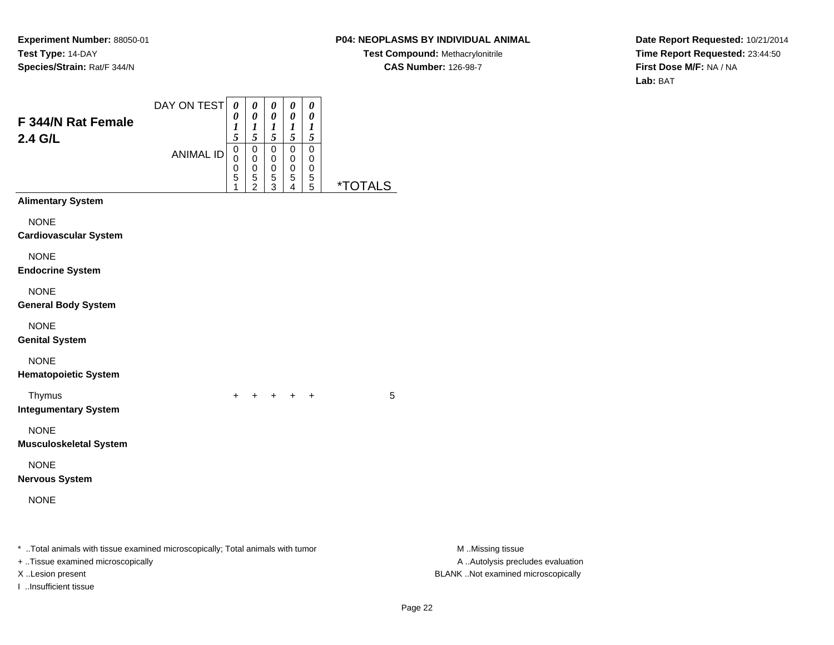# **P04: NEOPLASMS BY INDIVIDUAL ANIMAL**

**Test Compound:** Methacrylonitrile**CAS Number:** 126-98-7

**Date Report Requested:** 10/21/2014**Time Report Requested:** 23:44:50**First Dose M/F:** NA / NA**Lab:** BAT

| F 344/N Rat Female<br>2.4 G/L                                                                                                           | DAY ON TEST<br><b>ANIMAL ID</b> | $\boldsymbol{\theta}$<br>0<br>$\boldsymbol{l}$<br>5<br>$\pmb{0}$<br>$\mathbf 0$<br>$\boldsymbol{0}$<br>5<br>$\mathbf{1}$ | 0<br>$\pmb{\theta}$<br>$\boldsymbol{l}$<br>$\sqrt{5}$<br>$\pmb{0}$<br>$\pmb{0}$<br>$\pmb{0}$<br>$\frac{5}{2}$ | 0<br>$\pmb{\theta}$<br>$\boldsymbol{l}$<br>5<br>$\pmb{0}$<br>$\pmb{0}$<br>$\pmb{0}$<br>$\frac{5}{3}$ | $\boldsymbol{\theta}$<br>$\pmb{\theta}$<br>$\boldsymbol{l}$<br>$\sqrt{5}$<br>$\pmb{0}$<br>$\pmb{0}$<br>$\pmb{0}$<br>$\frac{5}{4}$ | $\pmb{\theta}$<br>$\pmb{\theta}$<br>$\boldsymbol{l}$<br>$\sqrt{5}$<br>$\overline{0}$<br>$\pmb{0}$<br>$\pmb{0}$<br>$\begin{array}{c} 5 \\ 5 \end{array}$ | <i><b>*TOTALS</b></i> |                                                                                             |
|-----------------------------------------------------------------------------------------------------------------------------------------|---------------------------------|--------------------------------------------------------------------------------------------------------------------------|---------------------------------------------------------------------------------------------------------------|------------------------------------------------------------------------------------------------------|-----------------------------------------------------------------------------------------------------------------------------------|---------------------------------------------------------------------------------------------------------------------------------------------------------|-----------------------|---------------------------------------------------------------------------------------------|
| <b>Alimentary System</b>                                                                                                                |                                 |                                                                                                                          |                                                                                                               |                                                                                                      |                                                                                                                                   |                                                                                                                                                         |                       |                                                                                             |
| <b>NONE</b><br><b>Cardiovascular System</b>                                                                                             |                                 |                                                                                                                          |                                                                                                               |                                                                                                      |                                                                                                                                   |                                                                                                                                                         |                       |                                                                                             |
| <b>NONE</b><br><b>Endocrine System</b>                                                                                                  |                                 |                                                                                                                          |                                                                                                               |                                                                                                      |                                                                                                                                   |                                                                                                                                                         |                       |                                                                                             |
| <b>NONE</b><br><b>General Body System</b>                                                                                               |                                 |                                                                                                                          |                                                                                                               |                                                                                                      |                                                                                                                                   |                                                                                                                                                         |                       |                                                                                             |
| <b>NONE</b><br><b>Genital System</b>                                                                                                    |                                 |                                                                                                                          |                                                                                                               |                                                                                                      |                                                                                                                                   |                                                                                                                                                         |                       |                                                                                             |
| <b>NONE</b><br><b>Hematopoietic System</b>                                                                                              |                                 |                                                                                                                          |                                                                                                               |                                                                                                      |                                                                                                                                   |                                                                                                                                                         |                       |                                                                                             |
| Thymus<br><b>Integumentary System</b>                                                                                                   |                                 | $+$                                                                                                                      |                                                                                                               |                                                                                                      | $+$ $+$ $+$ $+$                                                                                                                   |                                                                                                                                                         | 5                     |                                                                                             |
| <b>NONE</b><br><b>Musculoskeletal System</b>                                                                                            |                                 |                                                                                                                          |                                                                                                               |                                                                                                      |                                                                                                                                   |                                                                                                                                                         |                       |                                                                                             |
| <b>NONE</b><br><b>Nervous System</b>                                                                                                    |                                 |                                                                                                                          |                                                                                                               |                                                                                                      |                                                                                                                                   |                                                                                                                                                         |                       |                                                                                             |
| <b>NONE</b>                                                                                                                             |                                 |                                                                                                                          |                                                                                                               |                                                                                                      |                                                                                                                                   |                                                                                                                                                         |                       |                                                                                             |
| * Total animals with tissue examined microscopically; Total animals with tumor<br>+ Tissue examined microscopically<br>X Lesion present |                                 |                                                                                                                          |                                                                                                               |                                                                                                      |                                                                                                                                   |                                                                                                                                                         |                       | M Missing tissue<br>A  Autolysis precludes evaluation<br>BLANK Not examined microscopically |

I ..Insufficient tissue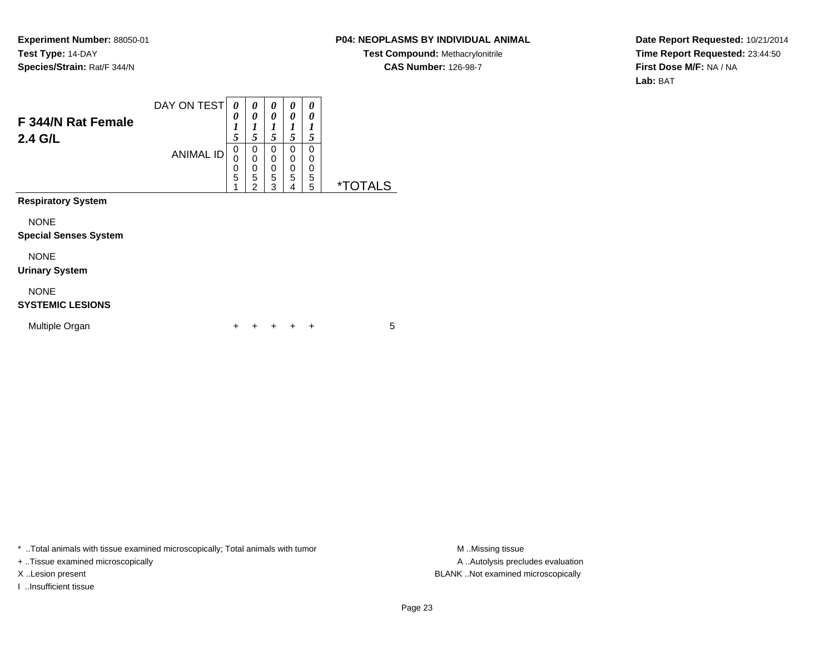### **P04: NEOPLASMS BY INDIVIDUAL ANIMAL**

**Test Compound:** Methacrylonitrile**CAS Number:** 126-98-7

**Date Report Requested:** 10/21/2014**Time Report Requested:** 23:44:50**First Dose M/F:** NA / NA**Lab:** BAT

| <b>F 344/N Rat Female</b><br>2.4 G/L        | DAY ON TEST<br><b>ANIMAL ID</b> | 0<br>0<br>1<br>5<br>0<br>0<br>0<br>5<br>4 | 0<br>0<br>$\boldsymbol{l}$<br>5<br>0<br>$\mathbf 0$<br>$\pmb{0}$<br>5<br>$\overline{2}$ | 0<br>0<br>1<br>5<br>0<br>0<br>0<br>5<br>3 | 0<br>0<br>1<br>5<br>0<br>0<br>0<br>5<br>4 | 0<br>0<br>1<br>5<br>0<br>0<br>0<br>5<br>5 | <i><b>*TOTALS</b></i> |
|---------------------------------------------|---------------------------------|-------------------------------------------|-----------------------------------------------------------------------------------------|-------------------------------------------|-------------------------------------------|-------------------------------------------|-----------------------|
| <b>Respiratory System</b>                   |                                 |                                           |                                                                                         |                                           |                                           |                                           |                       |
| <b>NONE</b><br><b>Special Senses System</b> |                                 |                                           |                                                                                         |                                           |                                           |                                           |                       |
| <b>NONE</b><br><b>Urinary System</b>        |                                 |                                           |                                                                                         |                                           |                                           |                                           |                       |
| <b>NONE</b><br><b>SYSTEMIC LESIONS</b>      |                                 |                                           |                                                                                         |                                           |                                           |                                           |                       |
| Multiple Organ                              |                                 |                                           |                                                                                         |                                           |                                           | +                                         | 5                     |

\* ..Total animals with tissue examined microscopically; Total animals with tumor **M** . Missing tissue M ..Missing tissue

+ ..Tissue examined microscopically

I ..Insufficient tissue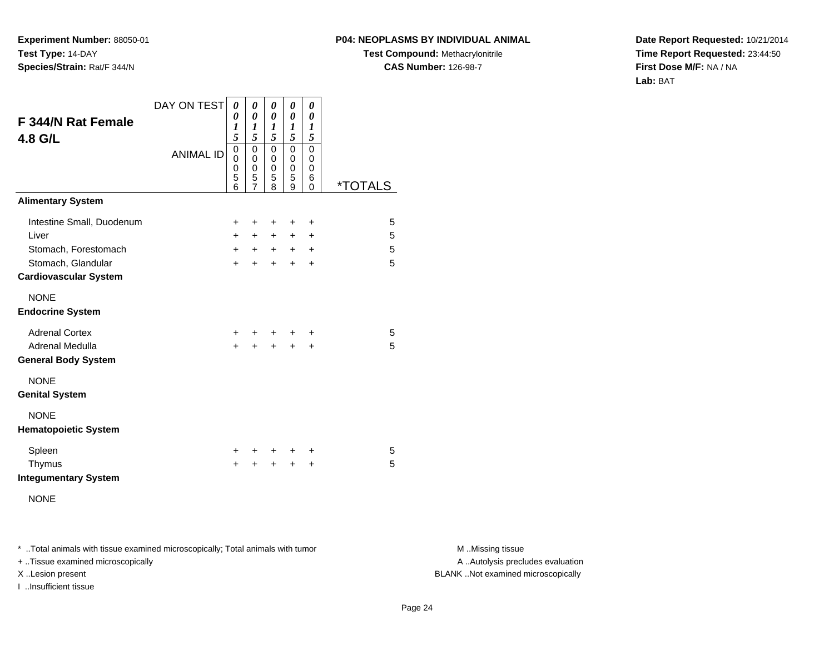#### **P04: NEOPLASMS BY INDIVIDUAL ANIMAL**

**Test Compound:** Methacrylonitrile**CAS Number:** 126-98-7

**Date Report Requested:** 10/21/2014**Time Report Requested:** 23:44:50**First Dose M/F:** NA / NA**Lab:** BAT

| <b>F 344/N Rat Female</b><br>4.8 G/L                                                                             | DAY ON TEST<br><b>ANIMAL ID</b> | 0<br>0<br>$\boldsymbol{l}$<br>5<br>$\mathbf 0$<br>$\Omega$<br>$\mathbf 0$<br>5<br>6 | 0<br>0<br>$\boldsymbol{l}$<br>5<br>$\mathbf 0$<br>0<br>0<br>5<br>$\overline{7}$ | 0<br>0<br>1<br>5<br>$\mathbf 0$<br>0<br>0<br>5<br>8 | 0<br>0<br>1<br>5 <sup>5</sup><br>$\mathbf 0$<br>0<br>$\mathbf 0$<br>5<br>9 | 0<br>0<br>1<br>5<br>0<br>0<br>0<br>6<br>$\Omega$ | <i><b>*TOTALS</b></i> |
|------------------------------------------------------------------------------------------------------------------|---------------------------------|-------------------------------------------------------------------------------------|---------------------------------------------------------------------------------|-----------------------------------------------------|----------------------------------------------------------------------------|--------------------------------------------------|-----------------------|
| <b>Alimentary System</b>                                                                                         |                                 |                                                                                     |                                                                                 |                                                     |                                                                            |                                                  |                       |
| Intestine Small, Duodenum<br>Liver<br>Stomach, Forestomach<br>Stomach, Glandular<br><b>Cardiovascular System</b> |                                 | $\ddot{}$<br>$+$<br>$+$<br>$+$                                                      | $\ddot{}$<br>$+$<br>$+$<br>$\ddot{}$                                            | +<br>$+$<br>$+$<br>$+$                              | $\ddot{}$<br>$+$<br>$+$<br>$\ddot{}$                                       | +<br>$\ddot{}$<br>$+$<br>$\ddot{}$               | 5<br>5<br>5<br>5      |
| <b>NONE</b><br><b>Endocrine System</b>                                                                           |                                 |                                                                                     |                                                                                 |                                                     |                                                                            |                                                  |                       |
| <b>Adrenal Cortex</b><br>Adrenal Medulla<br><b>General Body System</b>                                           |                                 | $\pm$<br>$\ddot{}$                                                                  | ÷.<br>+                                                                         | +<br>$\ddot{}$                                      | +<br>$\ddot{}$                                                             | +<br>$\ddot{}$                                   | 5<br>5                |
| <b>NONE</b><br><b>Genital System</b>                                                                             |                                 |                                                                                     |                                                                                 |                                                     |                                                                            |                                                  |                       |
| <b>NONE</b><br><b>Hematopoietic System</b>                                                                       |                                 |                                                                                     |                                                                                 |                                                     |                                                                            |                                                  |                       |
| Spleen<br>Thymus<br><b>Integumentary System</b><br><b>NONE</b>                                                   |                                 | $\pm$<br>÷                                                                          | $+$<br>$\div$                                                                   | $+$<br>$\ddot{}$                                    | $\pm$<br>$\div$                                                            | ÷<br>$\ddot{}$                                   | 5<br>5                |

\* ..Total animals with tissue examined microscopically; Total animals with tumor **M** . Missing tissue M ..Missing tissue

+ ..Tissue examined microscopically

I ..Insufficient tissue